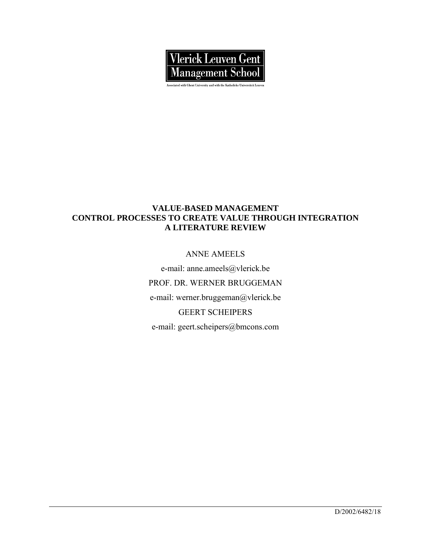

## **VALUE-BASED MANAGEMENT CONTROL PROCESSES TO CREATE VALUE THROUGH INTEGRATION A LITERATURE REVIEW**

ANNE AMEELS e-mail: anne.ameels@vlerick.be PROF. DR. WERNER BRUGGEMAN e-mail: werner.bruggeman@vlerick.be GEERT SCHEIPERS e-mail: geert.scheipers@bmcons.com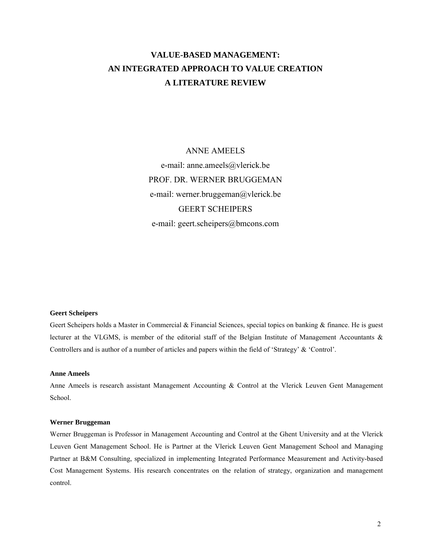# **VALUE-BASED MANAGEMENT: AN INTEGRATED APPROACH TO VALUE CREATION A LITERATURE REVIEW**

ANNE AMEELS e-mail: anne.ameels@vlerick.be PROF. DR. WERNER BRUGGEMAN e-mail: werner.bruggeman@vlerick.be GEERT SCHEIPERS e-mail: geert.scheipers@bmcons.com

#### **Geert Scheipers**

Geert Scheipers holds a Master in Commercial & Financial Sciences, special topics on banking & finance. He is guest lecturer at the VLGMS, is member of the editorial staff of the Belgian Institute of Management Accountants & Controllers and is author of a number of articles and papers within the field of 'Strategy'  $\&$  'Control'.

#### **Anne Ameels**

Anne Ameels is research assistant Management Accounting & Control at the Vlerick Leuven Gent Management School.

#### **Werner Bruggeman**

Werner Bruggeman is Professor in Management Accounting and Control at the Ghent University and at the Vlerick Leuven Gent Management School. He is Partner at the Vlerick Leuven Gent Management School and Managing Partner at B&M Consulting, specialized in implementing Integrated Performance Measurement and Activity-based Cost Management Systems. His research concentrates on the relation of strategy, organization and management control.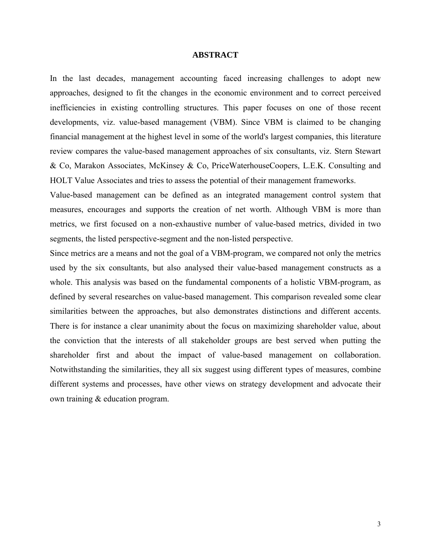#### **ABSTRACT**

In the last decades, management accounting faced increasing challenges to adopt new approaches, designed to fit the changes in the economic environment and to correct perceived inefficiencies in existing controlling structures. This paper focuses on one of those recent developments, viz. value-based management (VBM). Since VBM is claimed to be changing financial management at the highest level in some of the world's largest companies, this literature review compares the value-based management approaches of six consultants, viz. Stern Stewart & Co, Marakon Associates, McKinsey & Co, PriceWaterhouseCoopers, L.E.K. Consulting and HOLT Value Associates and tries to assess the potential of their management frameworks.

Value-based management can be defined as an integrated management control system that measures, encourages and supports the creation of net worth. Although VBM is more than metrics, we first focused on a non-exhaustive number of value-based metrics, divided in two segments, the listed perspective-segment and the non-listed perspective.

Since metrics are a means and not the goal of a VBM-program, we compared not only the metrics used by the six consultants, but also analysed their value-based management constructs as a whole. This analysis was based on the fundamental components of a holistic VBM-program, as defined by several researches on value-based management. This comparison revealed some clear similarities between the approaches, but also demonstrates distinctions and different accents. There is for instance a clear unanimity about the focus on maximizing shareholder value, about the conviction that the interests of all stakeholder groups are best served when putting the shareholder first and about the impact of value-based management on collaboration. Notwithstanding the similarities, they all six suggest using different types of measures, combine different systems and processes, have other views on strategy development and advocate their own training & education program.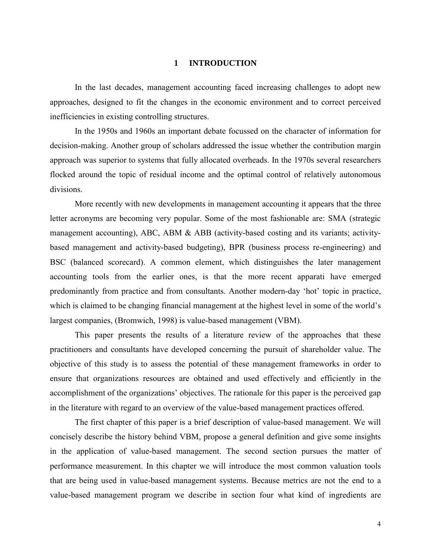## **1 INTRODUCTION**

In the last decades, management accounting faced increasing challenges to adopt new approaches, designed to fit the changes in the economic environment and to correct perceived inefficiencies in existing controlling structures.

In the 1950s and 1960s an important debate focussed on the character of information for decision-making. Another group of scholars addressed the issue whether the contribution margin approach was superior to systems that fully allocated overheads. In the 1970s several researchers flocked around the topic of residual income and the optimal control of relatively autonomous divisions.

More recently with new developments in management accounting it appears that the three letter acronyms are becoming very popular. Some of the most fashionable are: SMA (strategic management accounting), ABC, ABM & ABB (activity-based costing and its variants; activitybased management and activity-based budgeting), BPR (business process re-engineering) and BSC (balanced scorecard). A common element, which distinguishes the later management accounting tools from the earlier ones, is that the more recent apparati have emerged predominantly from practice and from consultants. Another modern-day 'hot' topic in practice, which is claimed to be changing financial management at the highest level in some of the world's largest companies, (Bromwich, 1998) is value-based management (VBM).

This paper presents the results of a literature review of the approaches that these practitioners and consultants have developed concerning the pursuit of shareholder value. The objective of this study is to assess the potential of these management frameworks in order to ensure that organizations resources are obtained and used effectively and efficiently in the accomplishment of the organizations' objectives. The rationale for this paper is the perceived gap in the literature with regard to an overview of the value-based management practices offered.

The first chapter of this paper is a brief description of value-based management. We will concisely describe the history behind VBM, propose a general definition and give some insights in the application of value-based management. The second section pursues the matter of performance measurement. In this chapter we will introduce the most common valuation tools that are being used in value-based management systems. Because metrics are not the end to a value-based management program we describe in section four what kind of ingredients are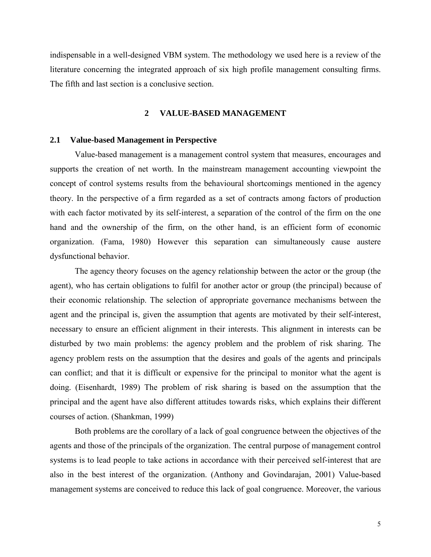indispensable in a well-designed VBM system. The methodology we used here is a review of the literature concerning the integrated approach of six high profile management consulting firms. The fifth and last section is a conclusive section.

## **2 VALUE-BASED MANAGEMENT**

#### **2.1 Value-based Management in Perspective**

Value-based management is a management control system that measures, encourages and supports the creation of net worth. In the mainstream management accounting viewpoint the concept of control systems results from the behavioural shortcomings mentioned in the agency theory. In the perspective of a firm regarded as a set of contracts among factors of production with each factor motivated by its self-interest, a separation of the control of the firm on the one hand and the ownership of the firm, on the other hand, is an efficient form of economic organization. (Fama, 1980) However this separation can simultaneously cause austere dysfunctional behavior.

The agency theory focuses on the agency relationship between the actor or the group (the agent), who has certain obligations to fulfil for another actor or group (the principal) because of their economic relationship. The selection of appropriate governance mechanisms between the agent and the principal is, given the assumption that agents are motivated by their self-interest, necessary to ensure an efficient alignment in their interests. This alignment in interests can be disturbed by two main problems: the agency problem and the problem of risk sharing. The agency problem rests on the assumption that the desires and goals of the agents and principals can conflict; and that it is difficult or expensive for the principal to monitor what the agent is doing. (Eisenhardt, 1989) The problem of risk sharing is based on the assumption that the principal and the agent have also different attitudes towards risks, which explains their different courses of action. (Shankman, 1999)

Both problems are the corollary of a lack of goal congruence between the objectives of the agents and those of the principals of the organization. The central purpose of management control systems is to lead people to take actions in accordance with their perceived self-interest that are also in the best interest of the organization. (Anthony and Govindarajan, 2001) Value-based management systems are conceived to reduce this lack of goal congruence. Moreover, the various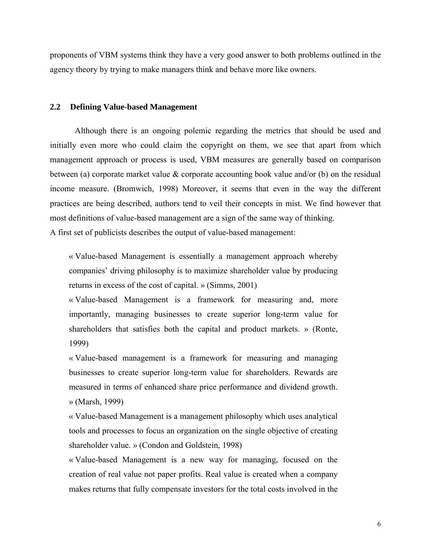proponents of VBM systems think they have a very good answer to both problems outlined in the agency theory by trying to make managers think and behave more like owners.

### **2.2 Defining Value-based Management**

Although there is an ongoing polemic regarding the metrics that should be used and initially even more who could claim the copyright on them, we see that apart from which management approach or process is used, VBM measures are generally based on comparison between (a) corporate market value & corporate accounting book value and/or (b) on the residual income measure. (Bromwich, 1998) Moreover, it seems that even in the way the different practices are being described, authors tend to veil their concepts in mist. We find however that most definitions of value-based management are a sign of the same way of thinking. A first set of publicists describes the output of value-based management:

« Value-based Management is essentially a management approach whereby companies' driving philosophy is to maximize shareholder value by producing returns in excess of the cost of capital.  $\mathcal{P}$  (Simms, 2001)

«Value-based Management is a framework for measuring and, more importantly, managing businesses to create superior long-term value for shareholders that satisfies both the capital and product markets.  $\gg$  (Ronte, 1999)

´ Value-based management is a framework for measuring and managing businesses to create superior long-term value for shareholders. Rewards are measured in terms of enhanced share price performance and dividend growth. ª (Marsh, 1999)

« Value-based Management is a management philosophy which uses analytical tools and processes to focus an organization on the single objective of creating shareholder value. » (Condon and Goldstein, 1998)

« Value-based Management is a new way for managing, focused on the creation of real value not paper profits. Real value is created when a company makes returns that fully compensate investors for the total costs involved in the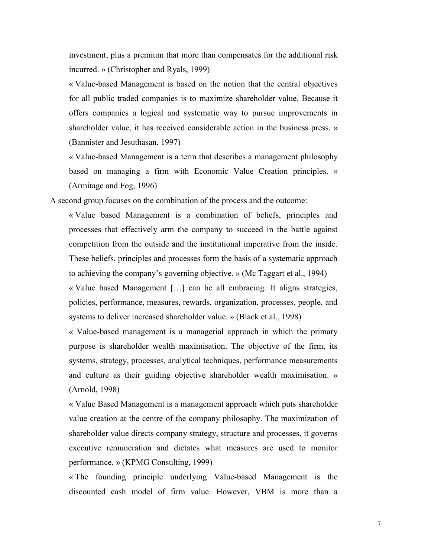investment, plus a premium that more than compensates for the additional risk incurred. » (Christopher and Ryals, 1999)

« Value-based Management is based on the notion that the central objectives for all public traded companies is to maximize shareholder value. Because it offers companies a logical and systematic way to pursue improvements in shareholder value, it has received considerable action in the business press. » (Bannister and Jesuthasan, 1997)

« Value-based Management is a term that describes a management philosophy based on managing a firm with Economic Value Creation principles.  $\gg$ (Armitage and Fog, 1996)

A second group focuses on the combination of the process and the outcome:

´ Value based Management is a combination of beliefs, principles and processes that effectively arm the company to succeed in the battle against competition from the outside and the institutional imperative from the inside. These beliefs, principles and processes form the basis of a systematic approach to achieving the company's governing objective. » (Mc Taggart et al., 1994)

 $\alpha$  Value based Management [ $\dots$ ] can be all embracing. It aligns strategies, policies, performance, measures, rewards, organization, processes, people, and systems to deliver increased shareholder value. » (Black et al., 1998)

« Value-based management is a managerial approach in which the primary purpose is shareholder wealth maximisation. The objective of the firm, its systems, strategy, processes, analytical techniques, performance measurements and culture as their guiding objective shareholder wealth maximisation.  $\gg$ (Arnold, 1998)

« Value Based Management is a management approach which puts shareholder value creation at the centre of the company philosophy. The maximization of shareholder value directs company strategy, structure and processes, it governs executive remuneration and dictates what measures are used to monitor performance. ª (KPMG Consulting, 1999)

´ The founding principle underlying Value-based Management is the discounted cash model of firm value. However, VBM is more than a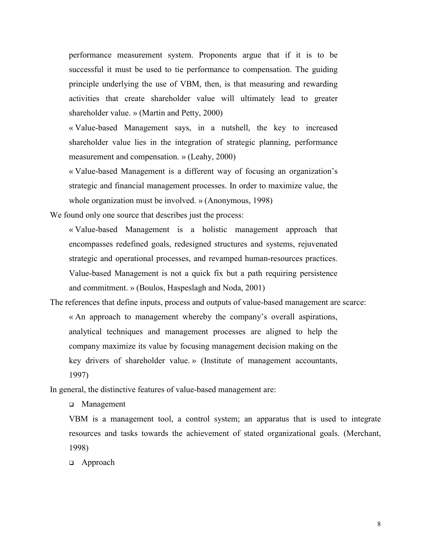performance measurement system. Proponents argue that if it is to be successful it must be used to tie performance to compensation. The guiding principle underlying the use of VBM, then, is that measuring and rewarding activities that create shareholder value will ultimately lead to greater shareholder value.  $\mathcal{P}$  (Martin and Petty, 2000)

´ Value-based Management says, in a nutshell, the key to increased shareholder value lies in the integration of strategic planning, performance measurement and compensation.  $\mathcal{P}$  (Leahy, 2000)

« Value-based Management is a different way of focusing an organization's strategic and financial management processes. In order to maximize value, the whole organization must be involved.  $\mathcal{P}$  (Anonymous, 1998)

We found only one source that describes just the process:

« Value-based Management is a holistic management approach that encompasses redefined goals, redesigned structures and systems, rejuvenated strategic and operational processes, and revamped human-resources practices. Value-based Management is not a quick fix but a path requiring persistence and commitment. » (Boulos, Haspeslagh and Noda, 2001)

The references that define inputs, process and outputs of value-based management are scarce: « An approach to management whereby the company's overall aspirations, analytical techniques and management processes are aligned to help the company maximize its value by focusing management decision making on the key drivers of shareholder value. » (Institute of management accountants, 1997)

In general, the distinctive features of value-based management are:

□ Management

VBM is a management tool, a control system; an apparatus that is used to integrate resources and tasks towards the achievement of stated organizational goals. (Merchant, 1998)

□ Approach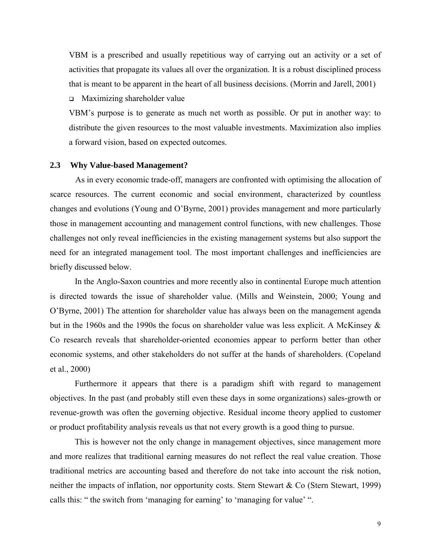VBM is a prescribed and usually repetitious way of carrying out an activity or a set of activities that propagate its values all over the organization. It is a robust disciplined process that is meant to be apparent in the heart of all business decisions. (Morrin and Jarell, 2001)

 $\Box$  Maximizing shareholder value

VBMís purpose is to generate as much net worth as possible. Or put in another way: to distribute the given resources to the most valuable investments. Maximization also implies a forward vision, based on expected outcomes.

#### **2.3 Why Value-based Management?**

As in every economic trade-off, managers are confronted with optimising the allocation of scarce resources. The current economic and social environment, characterized by countless changes and evolutions (Young and O'Byrne, 2001) provides management and more particularly those in management accounting and management control functions, with new challenges. Those challenges not only reveal inefficiencies in the existing management systems but also support the need for an integrated management tool. The most important challenges and inefficiencies are briefly discussed below.

In the Anglo-Saxon countries and more recently also in continental Europe much attention is directed towards the issue of shareholder value. (Mills and Weinstein, 2000; Young and OíByrne, 2001) The attention for shareholder value has always been on the management agenda but in the 1960s and the 1990s the focus on shareholder value was less explicit. A McKinsey & Co research reveals that shareholder-oriented economies appear to perform better than other economic systems, and other stakeholders do not suffer at the hands of shareholders. (Copeland et al., 2000)

Furthermore it appears that there is a paradigm shift with regard to management objectives. In the past (and probably still even these days in some organizations) sales-growth or revenue-growth was often the governing objective. Residual income theory applied to customer or product profitability analysis reveals us that not every growth is a good thing to pursue.

This is however not the only change in management objectives, since management more and more realizes that traditional earning measures do not reflect the real value creation. Those traditional metrics are accounting based and therefore do not take into account the risk notion, neither the impacts of inflation, nor opportunity costs. Stern Stewart & Co (Stern Stewart, 1999) calls this: " the switch from 'managing for earning' to 'managing for value' ".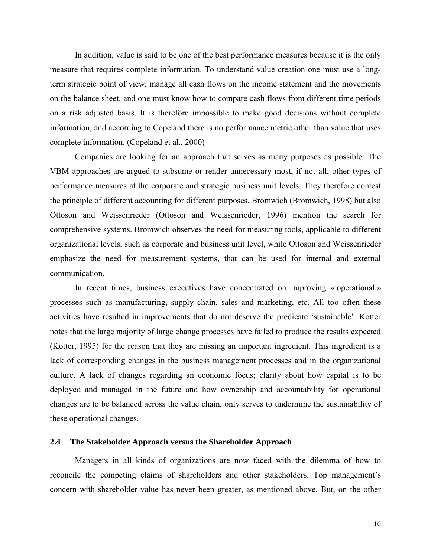In addition, value is said to be one of the best performance measures because it is the only measure that requires complete information. To understand value creation one must use a longterm strategic point of view, manage all cash flows on the income statement and the movements on the balance sheet, and one must know how to compare cash flows from different time periods on a risk adjusted basis. It is therefore impossible to make good decisions without complete information, and according to Copeland there is no performance metric other than value that uses complete information. (Copeland et al., 2000)

Companies are looking for an approach that serves as many purposes as possible. The VBM approaches are argued to subsume or render unnecessary most, if not all, other types of performance measures at the corporate and strategic business unit levels. They therefore contest the principle of different accounting for different purposes. Bromwich (Bromwich, 1998) but also Ottoson and Weissenrieder (Ottoson and Weissenrieder, 1996) mention the search for comprehensive systems. Bromwich observes the need for measuring tools, applicable to different organizational levels, such as corporate and business unit level, while Ottoson and Weissenrieder emphasize the need for measurement systems, that can be used for internal and external communication.

In recent times, business executives have concentrated on improving  $\kappa$  operational  $\kappa$ processes such as manufacturing, supply chain, sales and marketing, etc. All too often these activities have resulted in improvements that do not deserve the predicate 'sustainable'. Kotter notes that the large majority of large change processes have failed to produce the results expected (Kotter, 1995) for the reason that they are missing an important ingredient. This ingredient is a lack of corresponding changes in the business management processes and in the organizational culture. A lack of changes regarding an economic focus; clarity about how capital is to be deployed and managed in the future and how ownership and accountability for operational changes are to be balanced across the value chain, only serves to undermine the sustainability of these operational changes.

### **2.4 The Stakeholder Approach versus the Shareholder Approach**

Managers in all kinds of organizations are now faced with the dilemma of how to reconcile the competing claims of shareholders and other stakeholders. Top management's concern with shareholder value has never been greater, as mentioned above. But, on the other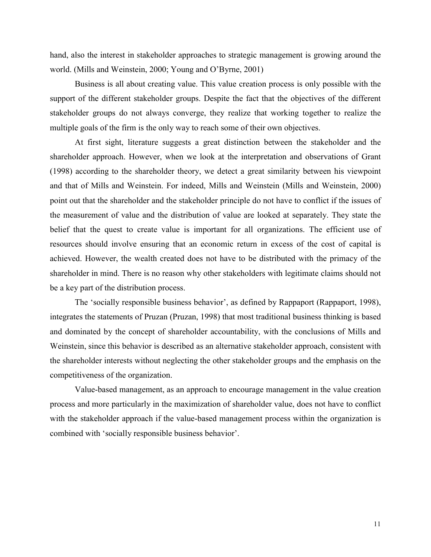hand, also the interest in stakeholder approaches to strategic management is growing around the world. (Mills and Weinstein, 2000; Young and O'Byrne, 2001)

Business is all about creating value. This value creation process is only possible with the support of the different stakeholder groups. Despite the fact that the objectives of the different stakeholder groups do not always converge, they realize that working together to realize the multiple goals of the firm is the only way to reach some of their own objectives.

At first sight, literature suggests a great distinction between the stakeholder and the shareholder approach. However, when we look at the interpretation and observations of Grant (1998) according to the shareholder theory, we detect a great similarity between his viewpoint and that of Mills and Weinstein. For indeed, Mills and Weinstein (Mills and Weinstein, 2000) point out that the shareholder and the stakeholder principle do not have to conflict if the issues of the measurement of value and the distribution of value are looked at separately. They state the belief that the quest to create value is important for all organizations. The efficient use of resources should involve ensuring that an economic return in excess of the cost of capital is achieved. However, the wealth created does not have to be distributed with the primacy of the shareholder in mind. There is no reason why other stakeholders with legitimate claims should not be a key part of the distribution process.

The 'socially responsible business behavior', as defined by Rappaport (Rappaport, 1998), integrates the statements of Pruzan (Pruzan, 1998) that most traditional business thinking is based and dominated by the concept of shareholder accountability, with the conclusions of Mills and Weinstein, since this behavior is described as an alternative stakeholder approach, consistent with the shareholder interests without neglecting the other stakeholder groups and the emphasis on the competitiveness of the organization.

Value-based management, as an approach to encourage management in the value creation process and more particularly in the maximization of shareholder value, does not have to conflict with the stakeholder approach if the value-based management process within the organization is combined with 'socially responsible business behavior'.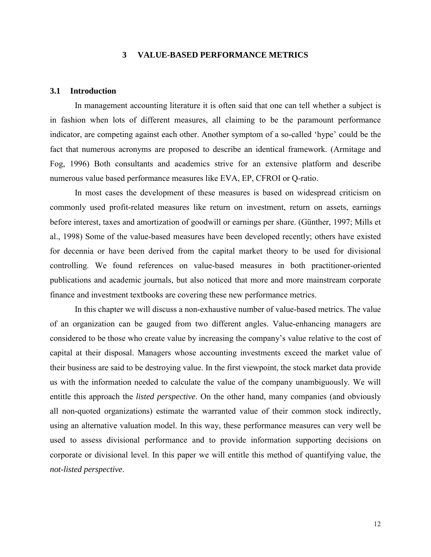### **3 VALUE-BASED PERFORMANCE METRICS**

#### **3.1 Introduction**

In management accounting literature it is often said that one can tell whether a subject is in fashion when lots of different measures, all claiming to be the paramount performance indicator, are competing against each other. Another symptom of a so-called 'hype' could be the fact that numerous acronyms are proposed to describe an identical framework. (Armitage and Fog, 1996) Both consultants and academics strive for an extensive platform and describe numerous value based performance measures like EVA, EP, CFROI or Q-ratio.

In most cases the development of these measures is based on widespread criticism on commonly used profit-related measures like return on investment, return on assets, earnings before interest, taxes and amortization of goodwill or earnings per share. (Günther, 1997; Mills et al., 1998) Some of the value-based measures have been developed recently; others have existed for decennia or have been derived from the capital market theory to be used for divisional controlling. We found references on value-based measures in both practitioner-oriented publications and academic journals, but also noticed that more and more mainstream corporate finance and investment textbooks are covering these new performance metrics.

In this chapter we will discuss a non-exhaustive number of value-based metrics. The value of an organization can be gauged from two different angles. Value-enhancing managers are considered to be those who create value by increasing the company's value relative to the cost of capital at their disposal. Managers whose accounting investments exceed the market value of their business are said to be destroying value. In the first viewpoint, the stock market data provide us with the information needed to calculate the value of the company unambiguously. We will entitle this approach the *listed perspective*. On the other hand, many companies (and obviously all non-quoted organizations) estimate the warranted value of their common stock indirectly, using an alternative valuation model. In this way, these performance measures can very well be used to assess divisional performance and to provide information supporting decisions on corporate or divisional level. In this paper we will entitle this method of quantifying value, the *not-listed perspective*.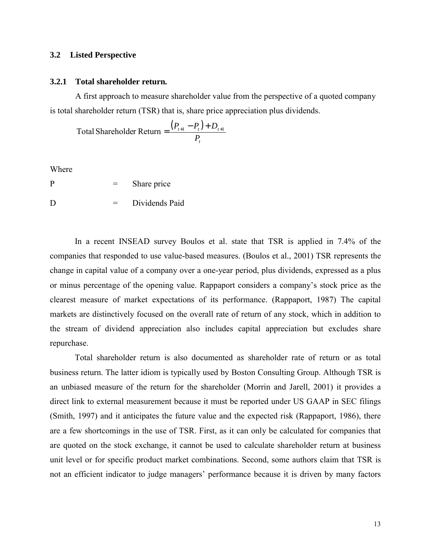#### **3.2 Listed Perspective**

#### **3.2.1 Total shareholder return***.*

A first approach to measure shareholder value from the perspective of a quoted company is total shareholder return (TSR) that is, share price appreciation plus dividends.

 $\left( P_{_{t+1}} - P_{_{t}} \right)$ *t*  $t_{t+1} - t_t$  *f*  $\boldsymbol{\nu}_t$ *P*  $\text{Total Shareholder Return} = \frac{(P_{t+1} - P_t) + D_{t+1}}{P_t}$ 

Where

P = Share price

D = Dividends Paid

In a recent INSEAD survey Boulos et al. state that TSR is applied in 7.4% of the companies that responded to use value-based measures. (Boulos et al., 2001) TSR represents the change in capital value of a company over a one-year period, plus dividends, expressed as a plus or minus percentage of the opening value. Rappaport considers a companyís stock price as the clearest measure of market expectations of its performance. (Rappaport, 1987) The capital markets are distinctively focused on the overall rate of return of any stock, which in addition to the stream of dividend appreciation also includes capital appreciation but excludes share repurchase.

Total shareholder return is also documented as shareholder rate of return or as total business return. The latter idiom is typically used by Boston Consulting Group. Although TSR is an unbiased measure of the return for the shareholder (Morrin and Jarell, 2001) it provides a direct link to external measurement because it must be reported under US GAAP in SEC filings (Smith, 1997) and it anticipates the future value and the expected risk (Rappaport, 1986), there are a few shortcomings in the use of TSR. First, as it can only be calculated for companies that are quoted on the stock exchange, it cannot be used to calculate shareholder return at business unit level or for specific product market combinations. Second, some authors claim that TSR is not an efficient indicator to judge managers' performance because it is driven by many factors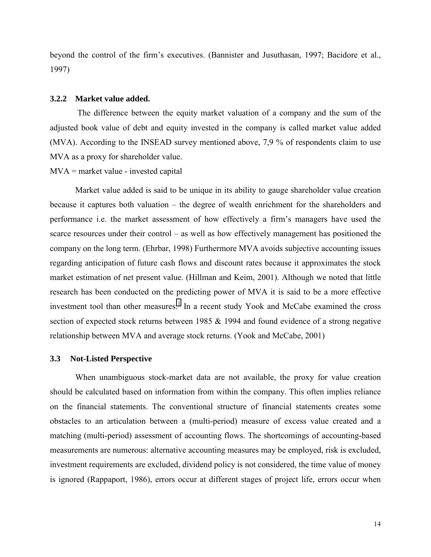beyond the control of the firm's executives. (Bannister and Jusuthasan, 1997; Bacidore et al., 1997)

### **3.2.2 Market value added.**

The difference between the equity market valuation of a company and the sum of the adjusted book value of debt and equity invested in the company is called market value added (MVA). According to the INSEAD survey mentioned above, 7,9 % of respondents claim to use MVA as a proxy for shareholder value.

MVA = market value - invested capital

Market value added is said to be unique in its ability to gauge shareholder value creation because it captures both valuation  $-$  the degree of wealth enrichment for the shareholders and performance i.e. the market assessment of how effectively a firm's managers have used the scarce resources under their control  $-$  as well as how effectively management has positioned the company on the long term. (Ehrbar, 1998) Furthermore MVA avoids subjective accounting issues regarding anticipation of future cash flows and discount rates because it approximates the stock market estimation of net present value. (Hillman and Keim, 2001). Although we noted that little research has been conducted on the predicting power of MVA it is said to be a more effective investment tool than other measures.<sup>1</sup> In a recent study Yook and McCabe examined the cross section of expected stock returns between 1985 & 1994 and found evidence of a strong negative relationship between MVA and average stock returns. (Yook and McCabe, 2001)

#### **3.3 Not-Listed Perspective**

When unambiguous stock-market data are not available, the proxy for value creation should be calculated based on information from within the company. This often implies reliance on the financial statements. The conventional structure of financial statements creates some obstacles to an articulation between a (multi-period) measure of excess value created and a matching (multi-period) assessment of accounting flows. The shortcomings of accounting-based measurements are numerous: alternative accounting measures may be employed, risk is excluded, investment requirements are excluded, dividend policy is not considered, the time value of money is ignored (Rappaport, 1986), errors occur at different stages of project life, errors occur when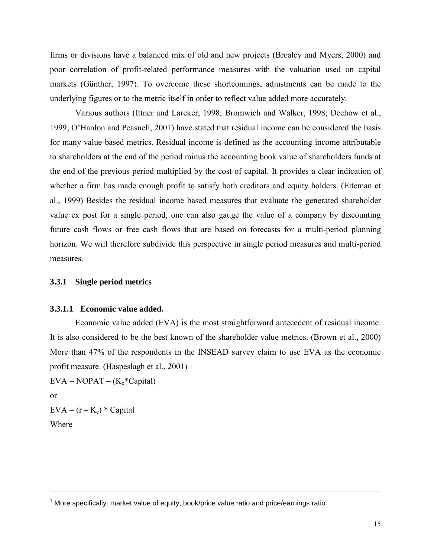firms or divisions have a balanced mix of old and new projects (Brealey and Myers, 2000) and poor correlation of profit-related performance measures with the valuation used on capital markets (Günther, 1997). To overcome these shortcomings, adjustments can be made to the underlying figures or to the metric itself in order to reflect value added more accurately.

Various authors (Ittner and Larcker, 1998; Bromwich and Walker, 1998; Dechow et al., 1999; O'Hanlon and Peasnell, 2001) have stated that residual income can be considered the basis for many value-based metrics. Residual income is defined as the accounting income attributable to shareholders at the end of the period minus the accounting book value of shareholders funds at the end of the previous period multiplied by the cost of capital. It provides a clear indication of whether a firm has made enough profit to satisfy both creditors and equity holders. (Eiteman et al., 1999) Besides the residual income based measures that evaluate the generated shareholder value ex post for a single period, one can also gauge the value of a company by discounting future cash flows or free cash flows that are based on forecasts for a multi-period planning horizon. We will therefore subdivide this perspective in single period measures and multi-period measures.

## **3.3.1 Single period metrics**

#### **3.3.1.1 Economic value added.**

Economic value added (EVA) is the most straightforward antecedent of residual income. It is also considered to be the best known of the shareholder value metrics. (Brown et al., 2000) More than 47% of the respondents in the INSEAD survey claim to use EVA as the economic profit measure. (Haspeslagh et al., 2001)

 $EVA = NOPATH - (K_c * Capital)$ or

 $EVA = (r - K_c) * Capital$ Where

l

<sup>&</sup>lt;sup>1</sup> More specifically: market value of equity, book/price value ratio and price/earnings ratio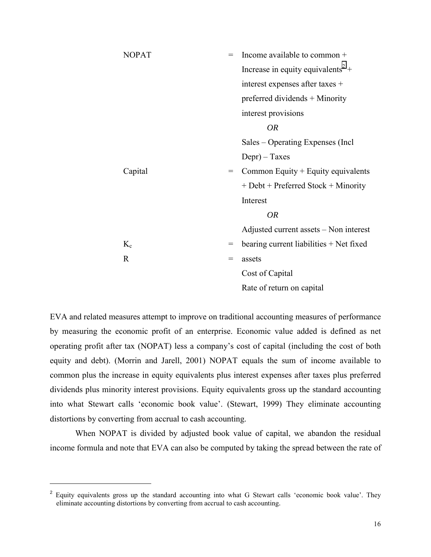| <b>NOPAT</b> | Income available to common +<br>$=$            |
|--------------|------------------------------------------------|
|              | Increase in equity equivalents <sup>2</sup> +  |
|              | interest expenses after taxes +                |
|              | preferred dividends + Minority                 |
|              | interest provisions                            |
|              | OR                                             |
|              | Sales – Operating Expenses (Incl.              |
|              | $Depr)$ – Taxes                                |
| Capital      | Common Equity + Equity equivalents<br>$=$      |
|              | $+$ Debt + Preferred Stock + Minority          |
|              | Interest                                       |
|              | <b>OR</b>                                      |
|              | Adjusted current assets – Non interest         |
| $K_c$        | bearing current liabilities + Net fixed<br>$=$ |
| R            | assets<br>$=$                                  |
|              | Cost of Capital                                |
|              | Rate of return on capital                      |

EVA and related measures attempt to improve on traditional accounting measures of performance by measuring the economic profit of an enterprise. Economic value added is defined as net operating profit after tax (NOPAT) less a company's cost of capital (including the cost of both equity and debt). (Morrin and Jarell, 2001) NOPAT equals the sum of income available to common plus the increase in equity equivalents plus interest expenses after taxes plus preferred dividends plus minority interest provisions. Equity equivalents gross up the standard accounting into what Stewart calls 'economic book value'. (Stewart, 1999) They eliminate accounting distortions by converting from accrual to cash accounting.

When NOPAT is divided by adjusted book value of capital, we abandon the residual income formula and note that EVA can also be computed by taking the spread between the rate of

l

<sup>&</sup>lt;sup>2</sup> Equity equivalents gross up the standard accounting into what G Stewart calls 'economic book value'. They eliminate accounting distortions by converting from accrual to cash accounting.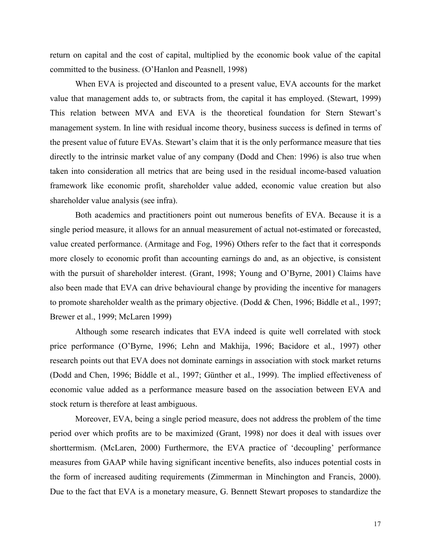return on capital and the cost of capital, multiplied by the economic book value of the capital committed to the business. (O'Hanlon and Peasnell, 1998)

When EVA is projected and discounted to a present value, EVA accounts for the market value that management adds to, or subtracts from, the capital it has employed. (Stewart, 1999) This relation between MVA and EVA is the theoretical foundation for Stern Stewart's management system. In line with residual income theory, business success is defined in terms of the present value of future EVAs. Stewart's claim that it is the only performance measure that ties directly to the intrinsic market value of any company (Dodd and Chen: 1996) is also true when taken into consideration all metrics that are being used in the residual income-based valuation framework like economic profit, shareholder value added, economic value creation but also shareholder value analysis (see infra).

Both academics and practitioners point out numerous benefits of EVA. Because it is a single period measure, it allows for an annual measurement of actual not-estimated or forecasted, value created performance. (Armitage and Fog, 1996) Others refer to the fact that it corresponds more closely to economic profit than accounting earnings do and, as an objective, is consistent with the pursuit of shareholder interest. (Grant, 1998; Young and O'Byrne, 2001) Claims have also been made that EVA can drive behavioural change by providing the incentive for managers to promote shareholder wealth as the primary objective. (Dodd & Chen, 1996; Biddle et al., 1997; Brewer et al., 1999; McLaren 1999)

Although some research indicates that EVA indeed is quite well correlated with stock price performance (OíByrne, 1996; Lehn and Makhija, 1996; Bacidore et al., 1997) other research points out that EVA does not dominate earnings in association with stock market returns (Dodd and Chen, 1996; Biddle et al., 1997; Günther et al., 1999). The implied effectiveness of economic value added as a performance measure based on the association between EVA and stock return is therefore at least ambiguous.

Moreover, EVA, being a single period measure, does not address the problem of the time period over which profits are to be maximized (Grant, 1998) nor does it deal with issues over shorttermism. (McLaren, 2000) Furthermore, the EVA practice of 'decoupling' performance measures from GAAP while having significant incentive benefits, also induces potential costs in the form of increased auditing requirements (Zimmerman in Minchington and Francis, 2000). Due to the fact that EVA is a monetary measure, G. Bennett Stewart proposes to standardize the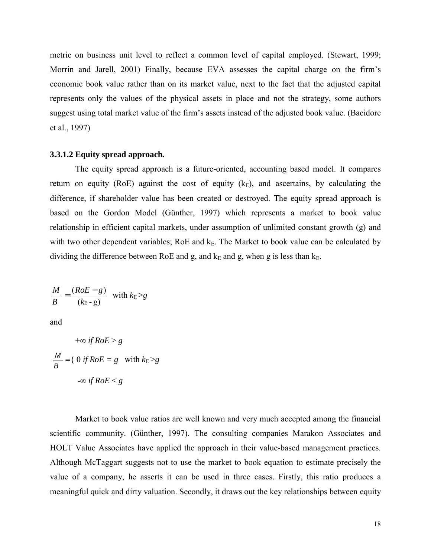metric on business unit level to reflect a common level of capital employed. (Stewart, 1999; Morrin and Jarell, 2001) Finally, because EVA assesses the capital charge on the firm's economic book value rather than on its market value, next to the fact that the adjusted capital represents only the values of the physical assets in place and not the strategy, some authors suggest using total market value of the firm's assets instead of the adjusted book value. (Bacidore et al., 1997)

#### **3.3.1.2 Equity spread approach***.*

The equity spread approach is a future-oriented, accounting based model. It compares return on equity (RoE) against the cost of equity  $(k<sub>E</sub>)$ , and ascertains, by calculating the difference, if shareholder value has been created or destroyed. The equity spread approach is based on the Gordon Model (Günther, 1997) which represents a market to book value relationship in efficient capital markets, under assumption of unlimited constant growth (g) and with two other dependent variables; RoE and  $k_E$ . The Market to book value can be calculated by dividing the difference between RoE and g, and  $k_E$  and g, when g is less than  $k_E$ .

$$
\frac{M}{B} = \frac{(RoE - g)}{(k_E - g)}
$$
 with  $k_E > g$ 

and

$$
+\infty if RoE > g
$$
  

$$
\frac{M}{B} = \{ 0 if RoE = g \text{ with } k_E > g
$$
  

$$
-\infty if RoE < g
$$

Market to book value ratios are well known and very much accepted among the financial scientific community. (Günther, 1997). The consulting companies Marakon Associates and HOLT Value Associates have applied the approach in their value-based management practices. Although McTaggart suggests not to use the market to book equation to estimate precisely the value of a company, he asserts it can be used in three cases. Firstly, this ratio produces a meaningful quick and dirty valuation. Secondly, it draws out the key relationships between equity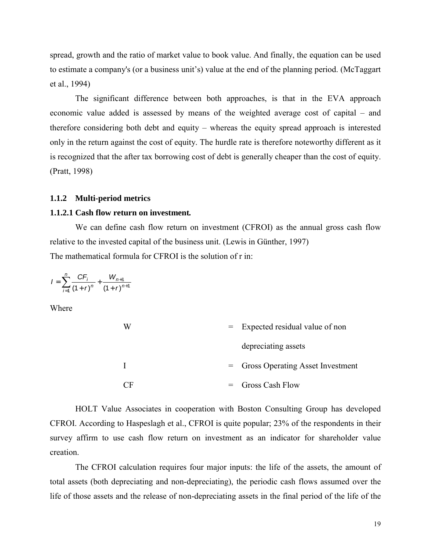spread, growth and the ratio of market value to book value. And finally, the equation can be used to estimate a company's (or a business unit's) value at the end of the planning period. (McTaggart et al., 1994)

The significant difference between both approaches, is that in the EVA approach economic value added is assessed by means of the weighted average cost of capital  $-$  and therefore considering both debt and equity  $-$  whereas the equity spread approach is interested only in the return against the cost of equity. The hurdle rate is therefore noteworthy different as it is recognized that the after tax borrowing cost of debt is generally cheaper than the cost of equity. (Pratt, 1998)

#### **1.1.2 Multi-period metrics**

## **1.1.2.1 Cash flow return on investment***.*

We can define cash flow return on investment (CFROI) as the annual gross cash flow relative to the invested capital of the business unit. (Lewis in Günther, 1997) The mathematical formula for CFROI is the solution of r in:

$$
I = \sum_{i=1}^{n} \frac{CF_i}{(1+r)^n} + \frac{W_{n+1}}{(1+r)^{n+1}}
$$

Where

W I CF = = = Expected residual value of non depreciating assets Gross Operating Asset Investment Gross Cash Flow

HOLT Value Associates in cooperation with Boston Consulting Group has developed CFROI. According to Haspeslagh et al., CFROI is quite popular; 23% of the respondents in their survey affirm to use cash flow return on investment as an indicator for shareholder value creation.

The CFROI calculation requires four major inputs: the life of the assets, the amount of total assets (both depreciating and non-depreciating), the periodic cash flows assumed over the life of those assets and the release of non-depreciating assets in the final period of the life of the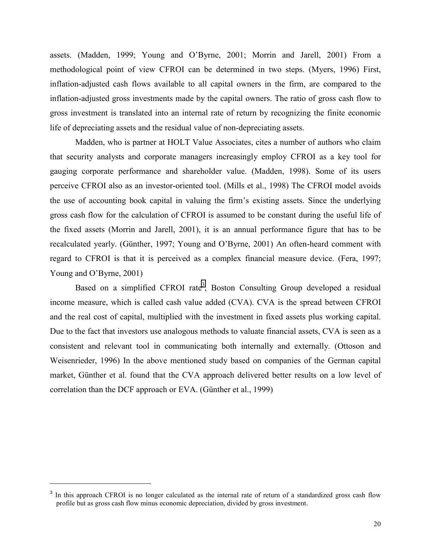assets. (Madden, 1999; Young and OíByrne, 2001; Morrin and Jarell, 2001) From a methodological point of view CFROI can be determined in two steps. (Myers, 1996) First, inflation-adjusted cash flows available to all capital owners in the firm, are compared to the inflation-adjusted gross investments made by the capital owners. The ratio of gross cash flow to gross investment is translated into an internal rate of return by recognizing the finite economic life of depreciating assets and the residual value of non-depreciating assets.

Madden, who is partner at HOLT Value Associates, cites a number of authors who claim that security analysts and corporate managers increasingly employ CFROI as a key tool for gauging corporate performance and shareholder value. (Madden, 1998). Some of its users perceive CFROI also as an investor-oriented tool. (Mills et al., 1998) The CFROI model avoids the use of accounting book capital in valuing the firm's existing assets. Since the underlying gross cash flow for the calculation of CFROI is assumed to be constant during the useful life of the fixed assets (Morrin and Jarell, 2001), it is an annual performance figure that has to be recalculated yearly. (Günther, 1997; Young and O'Byrne, 2001) An often-heard comment with regard to CFROI is that it is perceived as a complex financial measure device. (Fera, 1997; Young and O'Byrne, 2001)

Based on a simplified CFROI rate<sup>3</sup>, Boston Consulting Group developed a residual income measure, which is called cash value added (CVA). CVA is the spread between CFROI and the real cost of capital, multiplied with the investment in fixed assets plus working capital. Due to the fact that investors use analogous methods to valuate financial assets, CVA is seen as a consistent and relevant tool in communicating both internally and externally. (Ottoson and Weisenrieder, 1996) In the above mentioned study based on companies of the German capital market, Günther et al. found that the CVA approach delivered better results on a low level of correlation than the DCF approach or EVA. (Günther et al., 1999)

l

<sup>&</sup>lt;sup>3</sup> In this approach CFROI is no longer calculated as the internal rate of return of a standardized gross cash flow profile but as gross cash flow minus economic depreciation, divided by gross investment.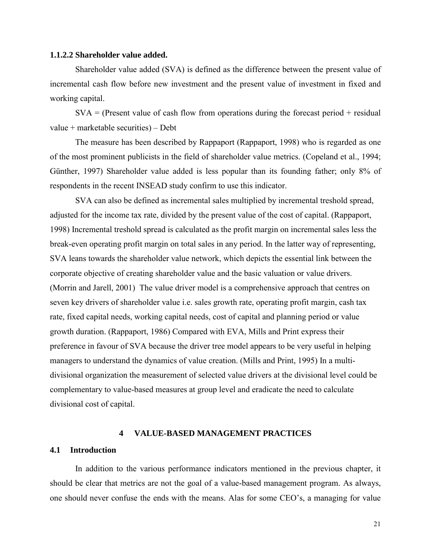#### **1.1.2.2 Shareholder value added.**

Shareholder value added (SVA) is defined as the difference between the present value of incremental cash flow before new investment and the present value of investment in fixed and working capital.

 $SVA = (Present value of cash flow from operations during the forecast period + residual)$ value + marketable securities)  $-$  Debt

The measure has been described by Rappaport (Rappaport, 1998) who is regarded as one of the most prominent publicists in the field of shareholder value metrics. (Copeland et al., 1994; Günther, 1997) Shareholder value added is less popular than its founding father; only 8% of respondents in the recent INSEAD study confirm to use this indicator.

SVA can also be defined as incremental sales multiplied by incremental treshold spread, adjusted for the income tax rate, divided by the present value of the cost of capital. (Rappaport, 1998) Incremental treshold spread is calculated as the profit margin on incremental sales less the break-even operating profit margin on total sales in any period. In the latter way of representing, SVA leans towards the shareholder value network, which depicts the essential link between the corporate objective of creating shareholder value and the basic valuation or value drivers. (Morrin and Jarell, 2001) The value driver model is a comprehensive approach that centres on seven key drivers of shareholder value i.e. sales growth rate, operating profit margin, cash tax rate, fixed capital needs, working capital needs, cost of capital and planning period or value growth duration. (Rappaport, 1986) Compared with EVA, Mills and Print express their preference in favour of SVA because the driver tree model appears to be very useful in helping managers to understand the dynamics of value creation. (Mills and Print, 1995) In a multidivisional organization the measurement of selected value drivers at the divisional level could be complementary to value-based measures at group level and eradicate the need to calculate divisional cost of capital.

## **4 VALUE-BASED MANAGEMENT PRACTICES**

## **4.1 Introduction**

In addition to the various performance indicators mentioned in the previous chapter, it should be clear that metrics are not the goal of a value-based management program. As always, one should never confuse the ends with the means. Alas for some CEO's, a managing for value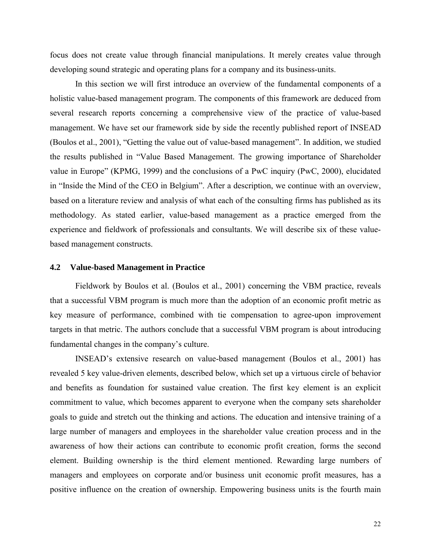focus does not create value through financial manipulations. It merely creates value through developing sound strategic and operating plans for a company and its business-units.

In this section we will first introduce an overview of the fundamental components of a holistic value-based management program. The components of this framework are deduced from several research reports concerning a comprehensive view of the practice of value-based management. We have set our framework side by side the recently published report of INSEAD (Boulos et al., 2001), "Getting the value out of value-based management". In addition, we studied the results published in "Value Based Management. The growing importance of Shareholder value in Europe" (KPMG, 1999) and the conclusions of a PwC inquiry (PwC, 2000), elucidated in "Inside the Mind of the CEO in Belgium". After a description, we continue with an overview, based on a literature review and analysis of what each of the consulting firms has published as its methodology. As stated earlier, value-based management as a practice emerged from the experience and fieldwork of professionals and consultants. We will describe six of these valuebased management constructs.

## **4.2 Value-based Management in Practice**

Fieldwork by Boulos et al. (Boulos et al., 2001) concerning the VBM practice, reveals that a successful VBM program is much more than the adoption of an economic profit metric as key measure of performance, combined with tie compensation to agree-upon improvement targets in that metric. The authors conclude that a successful VBM program is about introducing fundamental changes in the company's culture.

INSEAD's extensive research on value-based management (Boulos et al., 2001) has revealed 5 key value-driven elements, described below, which set up a virtuous circle of behavior and benefits as foundation for sustained value creation. The first key element is an explicit commitment to value, which becomes apparent to everyone when the company sets shareholder goals to guide and stretch out the thinking and actions. The education and intensive training of a large number of managers and employees in the shareholder value creation process and in the awareness of how their actions can contribute to economic profit creation, forms the second element. Building ownership is the third element mentioned. Rewarding large numbers of managers and employees on corporate and/or business unit economic profit measures, has a positive influence on the creation of ownership. Empowering business units is the fourth main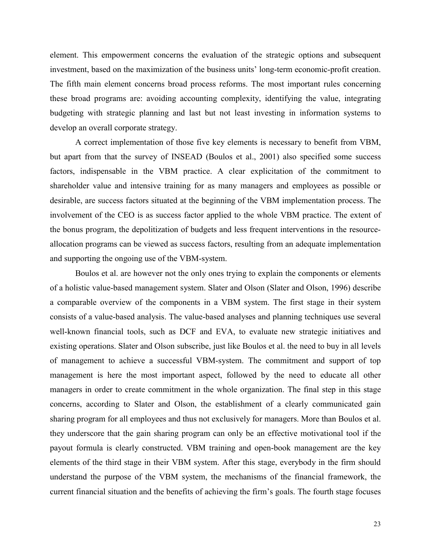element. This empowerment concerns the evaluation of the strategic options and subsequent investment, based on the maximization of the business units' long-term economic-profit creation. The fifth main element concerns broad process reforms. The most important rules concerning these broad programs are: avoiding accounting complexity, identifying the value, integrating budgeting with strategic planning and last but not least investing in information systems to develop an overall corporate strategy.

A correct implementation of those five key elements is necessary to benefit from VBM, but apart from that the survey of INSEAD (Boulos et al., 2001) also specified some success factors, indispensable in the VBM practice. A clear explicitation of the commitment to shareholder value and intensive training for as many managers and employees as possible or desirable, are success factors situated at the beginning of the VBM implementation process. The involvement of the CEO is as success factor applied to the whole VBM practice. The extent of the bonus program, the depolitization of budgets and less frequent interventions in the resourceallocation programs can be viewed as success factors, resulting from an adequate implementation and supporting the ongoing use of the VBM-system.

Boulos et al. are however not the only ones trying to explain the components or elements of a holistic value-based management system. Slater and Olson (Slater and Olson, 1996) describe a comparable overview of the components in a VBM system. The first stage in their system consists of a value-based analysis. The value-based analyses and planning techniques use several well-known financial tools, such as DCF and EVA, to evaluate new strategic initiatives and existing operations. Slater and Olson subscribe, just like Boulos et al. the need to buy in all levels of management to achieve a successful VBM-system. The commitment and support of top management is here the most important aspect, followed by the need to educate all other managers in order to create commitment in the whole organization. The final step in this stage concerns, according to Slater and Olson, the establishment of a clearly communicated gain sharing program for all employees and thus not exclusively for managers. More than Boulos et al. they underscore that the gain sharing program can only be an effective motivational tool if the payout formula is clearly constructed. VBM training and open-book management are the key elements of the third stage in their VBM system. After this stage, everybody in the firm should understand the purpose of the VBM system, the mechanisms of the financial framework, the current financial situation and the benefits of achieving the firm's goals. The fourth stage focuses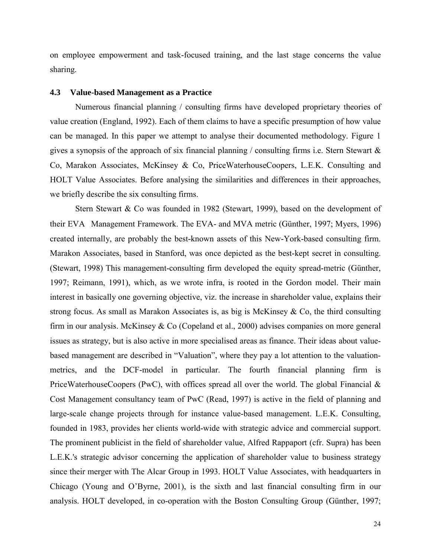on employee empowerment and task-focused training, and the last stage concerns the value sharing.

## **4.3 Value-based Management as a Practice**

Numerous financial planning / consulting firms have developed proprietary theories of value creation (England, 1992). Each of them claims to have a specific presumption of how value can be managed. In this paper we attempt to analyse their documented methodology. Figure 1 gives a synopsis of the approach of six financial planning / consulting firms i.e. Stern Stewart  $\&$ Co, Marakon Associates, McKinsey & Co, PriceWaterhouseCoopers, L.E.K. Consulting and HOLT Value Associates. Before analysing the similarities and differences in their approaches, we briefly describe the six consulting firms.

Stern Stewart & Co was founded in 1982 (Stewart, 1999), based on the development of their EVA® Management Framework. The EVA- and MVA metric (Günther, 1997; Myers, 1996) created internally, are probably the best-known assets of this New-York-based consulting firm. Marakon Associates, based in Stanford, was once depicted as the best-kept secret in consulting. (Stewart, 1998) This management-consulting firm developed the equity spread-metric (Günther, 1997; Reimann, 1991), which, as we wrote infra, is rooted in the Gordon model. Their main interest in basically one governing objective, viz. the increase in shareholder value, explains their strong focus. As small as Marakon Associates is, as big is McKinsey & Co, the third consulting firm in our analysis. McKinsey & Co (Copeland et al., 2000) advises companies on more general issues as strategy, but is also active in more specialised areas as finance. Their ideas about valuebased management are described in "Valuation", where they pay a lot attention to the valuationmetrics, and the DCF-model in particular. The fourth financial planning firm is PriceWaterhouseCoopers (PwC), with offices spread all over the world. The global Financial & Cost Management consultancy team of PwC (Read, 1997) is active in the field of planning and large-scale change projects through for instance value-based management. L.E.K. Consulting, founded in 1983, provides her clients world-wide with strategic advice and commercial support. The prominent publicist in the field of shareholder value, Alfred Rappaport (cfr. Supra) has been L.E.K.'s strategic advisor concerning the application of shareholder value to business strategy since their merger with The Alcar Group in 1993. HOLT Value Associates, with headquarters in Chicago (Young and OíByrne, 2001), is the sixth and last financial consulting firm in our analysis. HOLT developed, in co-operation with the Boston Consulting Group (Günther, 1997;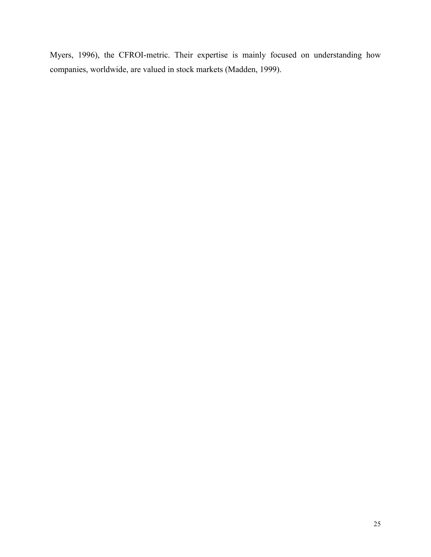Myers, 1996), the CFROI-metric. Their expertise is mainly focused on understanding how companies, worldwide, are valued in stock markets (Madden, 1999).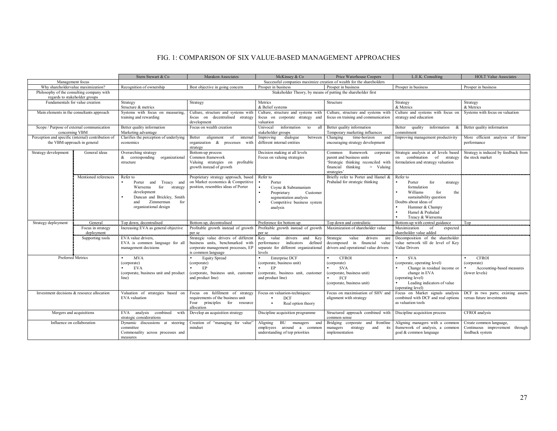#### FIG. 1: COMPARISON OF SIX VALUE-BASED MANAGEMENT APPROACHES

|                                                                                   |                                 | Stern Stewart & Co                                                                                                                                                | Marakon Associates                                                                                                                   | McKinsey & Co                                                                                                                                          | <b>Price Waterhouse Coopers</b>                                                                                                                          | L.E.K. Consulting                                                                                                                                                                              | <b>HOLT Value Associates</b>                                                            |
|-----------------------------------------------------------------------------------|---------------------------------|-------------------------------------------------------------------------------------------------------------------------------------------------------------------|--------------------------------------------------------------------------------------------------------------------------------------|--------------------------------------------------------------------------------------------------------------------------------------------------------|----------------------------------------------------------------------------------------------------------------------------------------------------------|------------------------------------------------------------------------------------------------------------------------------------------------------------------------------------------------|-----------------------------------------------------------------------------------------|
| Management focus                                                                  |                                 |                                                                                                                                                                   |                                                                                                                                      | Successful companies maximize creation of wealth for the shareholders                                                                                  |                                                                                                                                                          |                                                                                                                                                                                                |                                                                                         |
| Why shareholdervalue maximization?                                                |                                 | Recognition of ownership                                                                                                                                          | Best objective in going concern                                                                                                      | Prosper in business                                                                                                                                    | Prosper in business                                                                                                                                      | Prosper in business                                                                                                                                                                            | Prosper in business                                                                     |
| Philosophy of the consulting company with<br>regards to stakeholder groups        |                                 | Stakeholder Theory, by means of putting the shareholder first                                                                                                     |                                                                                                                                      |                                                                                                                                                        |                                                                                                                                                          |                                                                                                                                                                                                |                                                                                         |
| Fundamentals for value creation                                                   |                                 | Strategy<br>Structure & metrics                                                                                                                                   | Strategy                                                                                                                             | Metrics<br>& Belief systems                                                                                                                            | Structure                                                                                                                                                | Strategy<br>& Metrics                                                                                                                                                                          | Strategy<br>& Metrics                                                                   |
| Main elements in the consultants approach                                         |                                 | Systems with focus on measuring,<br>training and rewarding                                                                                                        | Culture, structure and systems with<br>focus on decentralised strategy<br>development                                                | Culture, structure and systems with<br>focus on corporate strategy and<br>valuation                                                                    | Culture, structure and systems with<br>focus on training and communication                                                                               | Culture and systems with focus on<br>strategy and education                                                                                                                                    | Systems with focus on valuation                                                         |
| Scope / Purpose of external communication<br>concerning VBM                       |                                 | Better quality information<br>Marketing advantage                                                                                                                 | Focus on wealth creation                                                                                                             | information<br>Univocal<br>to<br>all<br>stakeholder groups                                                                                             | Better quality information<br>Temporary marketing influences                                                                                             | Better quality information<br>&<br>commitment                                                                                                                                                  | Better quality information                                                              |
| Perception and specific (internal) contribution of<br>the VBM-approach in general |                                 | Clarifies the perception of underlying<br>economics                                                                                                               | Better alignment of internal<br>organization & processes with<br>strategy                                                            | dialogue<br>between<br>Improving<br>different internal entities                                                                                        | Changing<br>time-horizon<br>and<br>encouraging strategy development                                                                                      | Improving management productivity                                                                                                                                                              | More efficient analysis of firms'<br>performance                                        |
| Strategy development                                                              | General ideas                   | Overarching strategy<br>& corresponding organizational<br>structure                                                                                               | Bottom-up process<br>Common framework<br>Valuing strategies on profitable<br>growth instead of growth                                | Decision making at all levels<br>Focus on valuing strategies                                                                                           | framework<br>Common<br>corporate<br>parent and business units<br>'Strategic thinking reconciled with<br>financial thinking<br>$=$ Valuing<br>strategies' | Strategic analysis at all levels based<br>on combination of strategy<br>formulation and strategy valuation                                                                                     | Strategy is induced by feedback from<br>the stock market                                |
|                                                                                   | Mentioned references            | Refer to<br>Porter and Treacy and<br>Wiersema<br>for<br>strategy<br>development<br>Duncan and Brickley, Smith<br>Zimmerman<br>for<br>and<br>organizational design | Proprietary strategy approach, based Refer to<br>on Market economics & Competitive<br>position, resembles ideas of Porter            | Porter<br>Coyne & Subramaniam<br>$\bullet$<br>Proprietary<br>$\bullet$<br>Customer<br>segmentation analysis<br>Competitive business system<br>analysis | Briefly refer to Porter and Hamel &<br>Prahalad for strategic thinking                                                                                   | Refer to<br>Porter<br>for<br>strategy<br>formulation<br>Williams<br>for<br>the<br>sustainability question<br>Doubts about ideas of<br>Hammer & Champy<br>Hamel & Prahalad<br>Treacy & Wiersema |                                                                                         |
| Strategy deployment                                                               | General                         | Top down, decentralised                                                                                                                                           | Bottom up, decentralised                                                                                                             | Preference for bottom up                                                                                                                               | Top down and centralistic                                                                                                                                | Bottom-up with central guidance                                                                                                                                                                | Top                                                                                     |
|                                                                                   | Focus in strategy<br>deployment | Increasing EVA as general objective                                                                                                                               | Profitable growth instead of growth<br>per se                                                                                        | Profitable growth instead of growth<br>per se                                                                                                          | Maximization of shareholder value                                                                                                                        | Maximization<br>of<br>expected<br>shareholder value added                                                                                                                                      |                                                                                         |
|                                                                                   | Supporting tools                | EVA value drivers.<br>EVA is common language for all<br>management decisions                                                                                      | Strategic value drivers of different<br>business units, benchmarked with<br>corporate management processes, EP<br>is common language | Key value drivers and Key<br>performance indicators defined<br>separate for different organizational<br>levels                                         | Strategic<br>value<br>drivers<br>are<br>decomposed in financial value<br>drivers and operational value drivers                                           | Decomposition of the shareholder<br>value network till de level of Key<br>Value Drivers                                                                                                        |                                                                                         |
| Preferred Metrics                                                                 |                                 | <b>MVA</b><br>(corporate)<br><b>EVA</b><br>(corporate, business unit and product<br>line)                                                                         | <b>Equity Spread</b><br>(corporate)<br>EP<br>(corporate, business unit, customer<br>and product line)                                | Enterprise DCF<br>(corporate, business unit)<br>EP<br>(corporate, business unit, customer<br>and product line)                                         | <b>CFROI</b><br>(corporate)<br><b>SVA</b><br>(corporate, business unit)<br>FCF<br>$\bullet$<br>(corporate, business unit)                                | <b>SVA</b><br>(corporate, operating level)<br>Change in residual income or<br>change in EVA<br>(operating level)<br>Leading indicators of value<br>(operating level)                           | <b>CFROI</b><br>$\bullet$<br>(corporate)<br>Accounting-based measures<br>(lower levels) |
| Investment decisions & resource allocation                                        |                                 | Valuation of strategies based on<br><b>EVA</b> valuation                                                                                                          | Focus on fulfilment of strategy<br>requirements of the business unit<br>Four principles for resource<br>allocation                   | Focus on valuation-techniques:<br>DCF<br>Real option theory                                                                                            | Focus on maximisation of SHV and<br>alignment with strategy                                                                                              | Focus on Market signals analysis<br>combined with DCF and real options<br>as valuation tools                                                                                                   | DCF in two parts; existing assets<br>versus future investments                          |
| Mergers and acquisitions                                                          |                                 | EVA analysis combined with<br>strategic considerations                                                                                                            | Develop an acquisition strategy                                                                                                      | Discipline acquisition programme                                                                                                                       | Structured approach combined with<br>common sense                                                                                                        | Discipline acquisition process                                                                                                                                                                 | CFROI analysis                                                                          |
| Influence on collaboration                                                        |                                 | Dynamic discussions at steering<br>committee<br>Commonality across processes and<br>measures                                                                      | Creation of "managing for value"<br>mindset                                                                                          | BU managers and<br>Aligning<br>employees around a common<br>understanding of top priorities                                                            | Bridging corporate and frontline<br>managers<br>strategy<br>and<br>its<br>implementation                                                                 | Aligning managers with a common<br>framework of analysis, a common<br>goal & common language                                                                                                   | Create common language,<br>Continuous improvement through<br>feedback system            |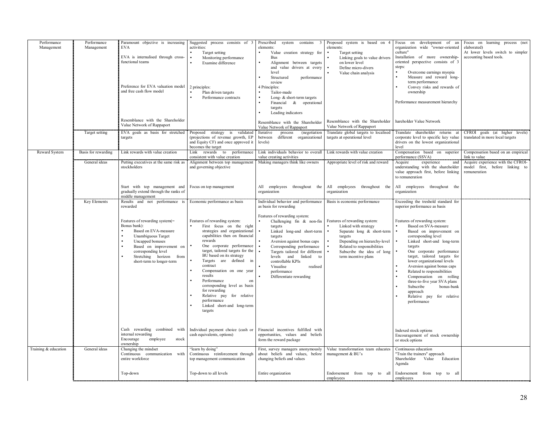| Performance<br>Management | Performance<br>Management | Paramount objective is increasing<br><b>EVA</b><br>EVA is internalised through cross-<br>functional teams<br>Preference for EVA valuation model 2 principles:<br>and free cash flow model<br>Resemblance with the Shareholder                                               | Suggested process consists of 3<br>activities:<br>Target setting<br>$\bullet$<br>Monitoring performance<br>Examine difference<br>Plan driven targets<br>Performance contracts                                                                                                                                                                                                                                                                                                                                                         | Prescribed<br>system<br>contains<br>-3<br>elements:<br>Value creation strategy for<br><b>Bus</b><br>Alignment between targets<br>and value drivers at every<br>level<br>Structured<br>performance<br>review<br>4 Principles:<br>Tailor-made<br>Long- & short-term targets<br>Financial & operational<br>$\bullet$<br>targets<br>$\bullet$<br>Leading indicators                                            | Proposed system is based on 4<br>elements:<br>Target setting<br>Linking goals to value drivers<br>on lower level<br>Define micro-divers<br>Value chain analysis<br>Resemblance with the Shareholder                                                               | Focus on development of an<br>organization wide "owner-oriented<br>culture"<br>Installation of more ownership-<br>oriented perspective consists of 3<br>steps:<br>Overcome earnings myopia<br>Measure and reward long-<br>term performance<br>Convey risks and rewards of<br>ownership<br>Performance measurement hierarchy<br>hareholder Value Network                                                                                                                                                                          | Focus on learning process (not<br>elaborated)<br>At lower levels switch to simpler<br>accounting based tools. |
|---------------------------|---------------------------|-----------------------------------------------------------------------------------------------------------------------------------------------------------------------------------------------------------------------------------------------------------------------------|---------------------------------------------------------------------------------------------------------------------------------------------------------------------------------------------------------------------------------------------------------------------------------------------------------------------------------------------------------------------------------------------------------------------------------------------------------------------------------------------------------------------------------------|------------------------------------------------------------------------------------------------------------------------------------------------------------------------------------------------------------------------------------------------------------------------------------------------------------------------------------------------------------------------------------------------------------|-------------------------------------------------------------------------------------------------------------------------------------------------------------------------------------------------------------------------------------------------------------------|----------------------------------------------------------------------------------------------------------------------------------------------------------------------------------------------------------------------------------------------------------------------------------------------------------------------------------------------------------------------------------------------------------------------------------------------------------------------------------------------------------------------------------|---------------------------------------------------------------------------------------------------------------|
|                           | Target setting            | Value Network of Rappaport<br>EVA goals as basis for stretched<br>targets                                                                                                                                                                                                   | Proposed strategy is validated<br>(projections of revenue growth, EP<br>and Equity CF) and once approved it<br>becomes the target                                                                                                                                                                                                                                                                                                                                                                                                     | Resemblance with the Shareholder<br>Value Network of Rappaport<br>Iterative<br>process<br>(negotiation<br>different organizational<br>between<br>levels)                                                                                                                                                                                                                                                   | Value Network of Rappaport<br>Translate global targets to localised<br>targets at operational level                                                                                                                                                               | Translate shareholder returns at<br>corporate level to specific key value<br>drivers on the lowest organizational<br>level                                                                                                                                                                                                                                                                                                                                                                                                       | CFROI goals (at higher levels)<br>translated in more local targets                                            |
| Reward System             | Basis for rewarding       | Link rewards with value creation                                                                                                                                                                                                                                            | Link rewards to performance                                                                                                                                                                                                                                                                                                                                                                                                                                                                                                           | Link individuals behavior to overall                                                                                                                                                                                                                                                                                                                                                                       | Link rewards with value creation                                                                                                                                                                                                                                  | Compensation based on superior                                                                                                                                                                                                                                                                                                                                                                                                                                                                                                   | Compensation based on an empirical                                                                            |
|                           | General ideas             | Putting executives at the same risk as<br>stockholders                                                                                                                                                                                                                      | consistent with value creation<br>Alignment between top management<br>and governing objective                                                                                                                                                                                                                                                                                                                                                                                                                                         | value creating activities<br>Making managers think like owners                                                                                                                                                                                                                                                                                                                                             | Appropriate level of risk and reward                                                                                                                                                                                                                              | performance (SSVA)<br>Acquire<br>experience<br>and<br>understanding with the shareholder<br>value approach first, before linking<br>to remuneration                                                                                                                                                                                                                                                                                                                                                                              | link to value<br>Acquire experience with the CFROI-<br>model first, before linking to<br>remuneration         |
|                           |                           | Start with top management and<br>gradually extend through the ranks of<br>middle management                                                                                                                                                                                 | Focus on top management                                                                                                                                                                                                                                                                                                                                                                                                                                                                                                               | All employees throughout the<br>organization                                                                                                                                                                                                                                                                                                                                                               | All employees throughout the<br>organization                                                                                                                                                                                                                      | All employees throughout the<br>organization                                                                                                                                                                                                                                                                                                                                                                                                                                                                                     |                                                                                                               |
|                           | Key Elements              | Results and not performance is<br>rewarded<br>Features of rewarding system(=<br>Bonus bank):<br>Based on EVA-measure<br>Unambiguous Target<br>Uncapped bonuses<br>Based on improvement on<br>corresponding level<br>Stretching horizon<br>from<br>short-term to longer-term | Economic performance as basis<br>Features of rewarding system:<br>First focus on the right<br>strategies and organizational<br>capabilities then on financial<br>rewards<br>One corporate performance •<br>target, tailored targets for the $\vert \bullet \vert$<br>BU based on its strategy<br>Targets are defined in<br>contract<br>Compensation on one year<br>results<br>Performance<br>on<br>corresponding level as basis<br>for rewarding<br>Relative pay for relative<br>performance<br>Linked short-and long-term<br>targets | Individual behavior and performance<br>as basis for rewarding<br>Features of rewarding system:<br>Challenging fin & non-fin<br>targets<br>Linked long-and short-term<br>$\bullet$<br>targets<br>Aversion against bonus caps<br>Corresponding performance<br>Targets tailored for different<br>levels and linked to<br>controllable KPIs<br>Visualise<br>realised<br>performance<br>Differentiate rewarding | Basis is economic performance<br>Features of rewarding system:<br>Linked with strategy<br>Separate long & short-term<br>targets<br>Depending on hierarchy-level<br>Related to responsibilities<br>Subscribe the idea of long<br>$\bullet$<br>term incentive plans | Exceeding the treshold standard for<br>superior performance as basis<br>Features of rewarding system:<br>Based on SVA-measure<br>Based on improvement on<br>corresponding level<br>Linked short-and long-term<br>targets<br>One corporate performance<br>target, tailored targets for<br>lower organizational levels<br>Aversion against bonus caps<br>Related to responsibilities<br>Compensation on rolling<br>three-to-five year SVA plans<br>Subscribe<br>bonus-bank<br>approach<br>Relative pay for relative<br>performance |                                                                                                               |
|                           |                           | Cash rewarding combined with<br>internal rewarding<br>employee<br>Encourage<br>stock<br>ownership                                                                                                                                                                           | Individual payment choice (cash or<br>cash equivalents, options)                                                                                                                                                                                                                                                                                                                                                                                                                                                                      | Financial incentives fulfilled with<br>opportunities, values and beliefs<br>form the reward package                                                                                                                                                                                                                                                                                                        |                                                                                                                                                                                                                                                                   | Indexed stock options<br>Encouragement of stock ownership<br>or stock options                                                                                                                                                                                                                                                                                                                                                                                                                                                    |                                                                                                               |
| Training & education      | General ideas             | Changing the mindset<br>Continuous communication with<br>entire workforce                                                                                                                                                                                                   | learn by doing'<br>Continuous reinforcement through<br>top management communication                                                                                                                                                                                                                                                                                                                                                                                                                                                   | First, survey managers anonymously<br>about beliefs and values, before<br>changing beliefs and values                                                                                                                                                                                                                                                                                                      | Value transformation team educates<br>management & BU's                                                                                                                                                                                                           | Continuous education<br>"Train the trainers" approach<br>Value<br>Shareholder<br>Education<br>Agenda                                                                                                                                                                                                                                                                                                                                                                                                                             |                                                                                                               |
|                           |                           | Top-down                                                                                                                                                                                                                                                                    | Top-down to all levels                                                                                                                                                                                                                                                                                                                                                                                                                                                                                                                | Entire organization                                                                                                                                                                                                                                                                                                                                                                                        | Endorsement from top to all<br>employees                                                                                                                                                                                                                          | Endorsement from top to all<br>employees                                                                                                                                                                                                                                                                                                                                                                                                                                                                                         |                                                                                                               |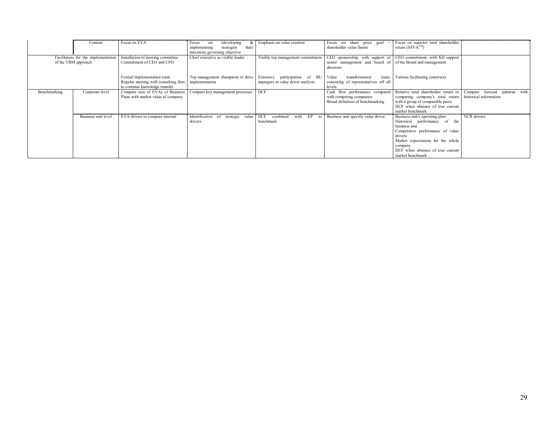|                                                            | Content             | Focus on EVA                                                                                         | (developing)<br>Focus<br>on<br>that)<br>implementing<br>strategies<br>maximize governing objective | $&$ Emphasis on value creation                                                                       | Focus on share price goal<br>- 22<br>shareholder value theme                                   | Focus on superior total shareholder<br>return $(SSVA^{TM})$                                                                                                                                                                             |                                |
|------------------------------------------------------------|---------------------|------------------------------------------------------------------------------------------------------|----------------------------------------------------------------------------------------------------|------------------------------------------------------------------------------------------------------|------------------------------------------------------------------------------------------------|-----------------------------------------------------------------------------------------------------------------------------------------------------------------------------------------------------------------------------------------|--------------------------------|
| Facilitators for the implementation<br>of the VBM approach |                     | Installation of steering committee<br>Commitment of CEO and CFO                                      | Chief executive as visible leader                                                                  | Visible top management commitment                                                                    | senior management and board of of the Board and management<br>directors                        | CEO sponsorship, with support of CEO commitment, with full support                                                                                                                                                                      |                                |
|                                                            |                     | Formal implementation team<br>Regular meeting with consulting firm<br>to continue knowledge transfer | implementation                                                                                     | Top management champions to drive Extensive participation of BU<br>managers in value driver analysis | Value<br>transformation<br>team.<br>consisting of representatives off all<br>levels            | Various facilitating constructs                                                                                                                                                                                                         |                                |
| Benchmarking                                               | Corporate level     | Compare sum of EVAs of Business<br>Plans with market value of company                                | Compare key management processes DCF                                                               |                                                                                                      | Cash flow performance compared<br>with competing companies<br>Broad definition of benchmarking | Relative total shareholder return or<br>comparing company's total return historical information<br>with a group of comparable peers<br>DCF when absence of true current<br>market benchmark                                             | Compare forecast patterns with |
|                                                            | Business unit level | EVA drivers to compare internal                                                                      | Identification of strategic value DCF combined<br>drivers                                          | with<br>$EP$ to<br>benchmark                                                                         | Business unit specific value driver                                                            | Business unit's operating plan<br>Historical performance of the<br>business unit<br>Competitive performance of value<br>drivers<br>Market expectations for the whole<br>company<br>DCF when absence of true current<br>market benchmark | NCR drivers                    |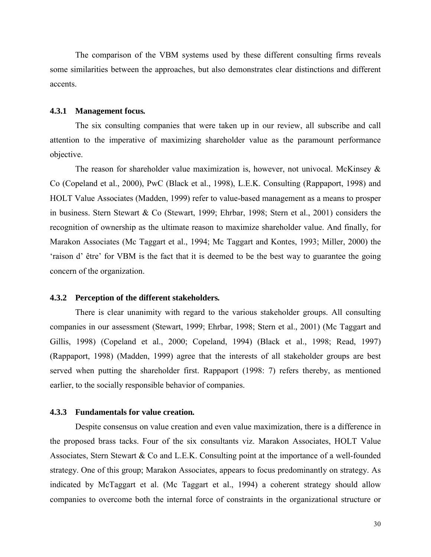The comparison of the VBM systems used by these different consulting firms reveals some similarities between the approaches, but also demonstrates clear distinctions and different accents.

#### **4.3.1 Management focus***.*

The six consulting companies that were taken up in our review, all subscribe and call attention to the imperative of maximizing shareholder value as the paramount performance objective.

The reason for shareholder value maximization is, however, not univocal. McKinsey  $\&$ Co (Copeland et al., 2000), PwC (Black et al., 1998), L.E.K. Consulting (Rappaport, 1998) and HOLT Value Associates (Madden, 1999) refer to value-based management as a means to prosper in business. Stern Stewart & Co (Stewart, 1999; Ehrbar, 1998; Stern et al., 2001) considers the recognition of ownership as the ultimate reason to maximize shareholder value. And finally, for Marakon Associates (Mc Taggart et al., 1994; Mc Taggart and Kontes, 1993; Miller, 2000) the 'raison d' être' for VBM is the fact that it is deemed to be the best way to guarantee the going concern of the organization.

#### **4.3.2 Perception of the different stakeholders***.*

There is clear unanimity with regard to the various stakeholder groups. All consulting companies in our assessment (Stewart, 1999; Ehrbar, 1998; Stern et al., 2001) (Mc Taggart and Gillis, 1998) (Copeland et al., 2000; Copeland, 1994) (Black et al., 1998; Read, 1997) (Rappaport, 1998) (Madden, 1999) agree that the interests of all stakeholder groups are best served when putting the shareholder first. Rappaport (1998: 7) refers thereby, as mentioned earlier, to the socially responsible behavior of companies.

#### **4.3.3 Fundamentals for value creation***.*

Despite consensus on value creation and even value maximization, there is a difference in the proposed brass tacks. Four of the six consultants viz. Marakon Associates, HOLT Value Associates, Stern Stewart & Co and L.E.K. Consulting point at the importance of a well-founded strategy. One of this group; Marakon Associates, appears to focus predominantly on strategy. As indicated by McTaggart et al. (Mc Taggart et al., 1994) a coherent strategy should allow companies to overcome both the internal force of constraints in the organizational structure or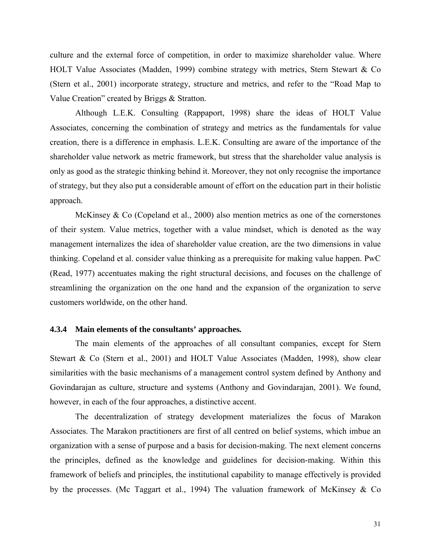culture and the external force of competition, in order to maximize shareholder value. Where HOLT Value Associates (Madden, 1999) combine strategy with metrics, Stern Stewart & Co (Stern et al., 2001) incorporate strategy, structure and metrics, and refer to the "Road Map to" Value Creation" created by Briggs & Stratton.

Although L.E.K. Consulting (Rappaport, 1998) share the ideas of HOLT Value Associates, concerning the combination of strategy and metrics as the fundamentals for value creation, there is a difference in emphasis. L.E.K. Consulting are aware of the importance of the shareholder value network as metric framework, but stress that the shareholder value analysis is only as good as the strategic thinking behind it. Moreover, they not only recognise the importance of strategy, but they also put a considerable amount of effort on the education part in their holistic approach.

McKinsey & Co (Copeland et al., 2000) also mention metrics as one of the cornerstones of their system. Value metrics, together with a value mindset, which is denoted as the way management internalizes the idea of shareholder value creation, are the two dimensions in value thinking. Copeland et al. consider value thinking as a prerequisite for making value happen. PwC (Read, 1977) accentuates making the right structural decisions, and focuses on the challenge of streamlining the organization on the one hand and the expansion of the organization to serve customers worldwide, on the other hand.

## **4.3.4 Main elements of the consultants' approaches***.*

The main elements of the approaches of all consultant companies, except for Stern Stewart & Co (Stern et al., 2001) and HOLT Value Associates (Madden, 1998), show clear similarities with the basic mechanisms of a management control system defined by Anthony and Govindarajan as culture, structure and systems (Anthony and Govindarajan, 2001). We found, however, in each of the four approaches, a distinctive accent.

The decentralization of strategy development materializes the focus of Marakon Associates. The Marakon practitioners are first of all centred on belief systems, which imbue an organization with a sense of purpose and a basis for decision-making. The next element concerns the principles, defined as the knowledge and guidelines for decision-making. Within this framework of beliefs and principles, the institutional capability to manage effectively is provided by the processes. (Mc Taggart et al., 1994) The valuation framework of McKinsey & Co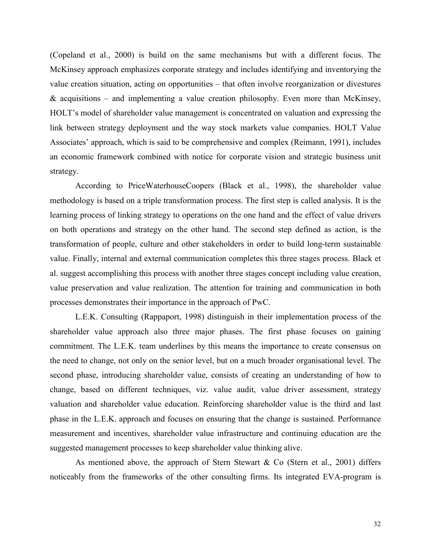(Copeland et al., 2000) is build on the same mechanisms but with a different focus. The McKinsey approach emphasizes corporate strategy and includes identifying and inventorying the value creation situation, acting on opportunities – that often involve reorganization or divestures  $\&$  acquisitions – and implementing a value creation philosophy. Even more than McKinsey, HOLT's model of shareholder value management is concentrated on valuation and expressing the link between strategy deployment and the way stock markets value companies. HOLT Value Associates' approach, which is said to be comprehensive and complex (Reimann, 1991), includes an economic framework combined with notice for corporate vision and strategic business unit strategy.

According to PriceWaterhouseCoopers (Black et al., 1998), the shareholder value methodology is based on a triple transformation process. The first step is called analysis. It is the learning process of linking strategy to operations on the one hand and the effect of value drivers on both operations and strategy on the other hand. The second step defined as action, is the transformation of people, culture and other stakeholders in order to build long-term sustainable value. Finally, internal and external communication completes this three stages process. Black et al. suggest accomplishing this process with another three stages concept including value creation, value preservation and value realization. The attention for training and communication in both processes demonstrates their importance in the approach of PwC.

L.E.K. Consulting (Rappaport, 1998) distinguish in their implementation process of the shareholder value approach also three major phases. The first phase focuses on gaining commitment. The L.E.K. team underlines by this means the importance to create consensus on the need to change, not only on the senior level, but on a much broader organisational level. The second phase, introducing shareholder value, consists of creating an understanding of how to change, based on different techniques, viz. value audit, value driver assessment, strategy valuation and shareholder value education. Reinforcing shareholder value is the third and last phase in the L.E.K. approach and focuses on ensuring that the change is sustained. Performance measurement and incentives, shareholder value infrastructure and continuing education are the suggested management processes to keep shareholder value thinking alive.

As mentioned above, the approach of Stern Stewart & Co (Stern et al., 2001) differs noticeably from the frameworks of the other consulting firms. Its integrated EVA-program is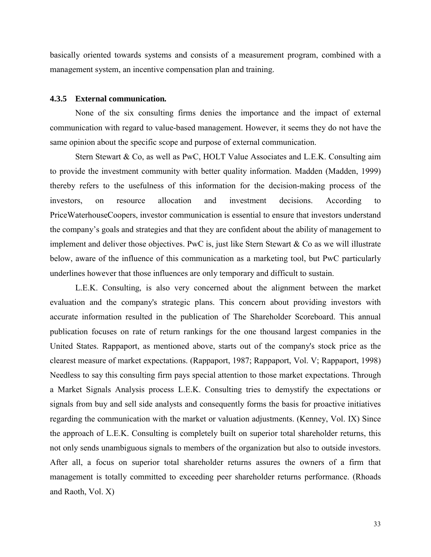basically oriented towards systems and consists of a measurement program, combined with a management system, an incentive compensation plan and training.

#### **4.3.5 External communication***.*

None of the six consulting firms denies the importance and the impact of external communication with regard to value-based management. However, it seems they do not have the same opinion about the specific scope and purpose of external communication.

Stern Stewart & Co, as well as PwC, HOLT Value Associates and L.E.K. Consulting aim to provide the investment community with better quality information. Madden (Madden, 1999) thereby refers to the usefulness of this information for the decision-making process of the investors, on resource allocation and investment decisions. According to PriceWaterhouseCoopers, investor communication is essential to ensure that investors understand the company's goals and strategies and that they are confident about the ability of management to implement and deliver those objectives. PwC is, just like Stern Stewart & Co as we will illustrate below, aware of the influence of this communication as a marketing tool, but PwC particularly underlines however that those influences are only temporary and difficult to sustain.

L.E.K. Consulting, is also very concerned about the alignment between the market evaluation and the company's strategic plans. This concern about providing investors with accurate information resulted in the publication of The Shareholder Scoreboard. This annual publication focuses on rate of return rankings for the one thousand largest companies in the United States. Rappaport, as mentioned above, starts out of the company's stock price as the clearest measure of market expectations. (Rappaport, 1987; Rappaport, Vol. V; Rappaport, 1998) Needless to say this consulting firm pays special attention to those market expectations. Through a Market Signals Analysis process L.E.K. Consulting tries to demystify the expectations or signals from buy and sell side analysts and consequently forms the basis for proactive initiatives regarding the communication with the market or valuation adjustments. (Kenney, Vol. IX) Since the approach of L.E.K. Consulting is completely built on superior total shareholder returns, this not only sends unambiguous signals to members of the organization but also to outside investors. After all, a focus on superior total shareholder returns assures the owners of a firm that management is totally committed to exceeding peer shareholder returns performance. (Rhoads and Raoth, Vol. X)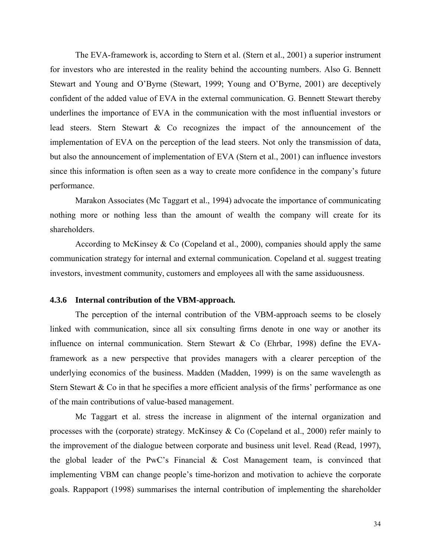The EVA-framework is, according to Stern et al. (Stern et al., 2001) a superior instrument for investors who are interested in the reality behind the accounting numbers. Also G. Bennett Stewart and Young and O'Byrne (Stewart, 1999; Young and O'Byrne, 2001) are deceptively confident of the added value of EVA in the external communication. G. Bennett Stewart thereby underlines the importance of EVA in the communication with the most influential investors or lead steers. Stern Stewart & Co recognizes the impact of the announcement of the implementation of EVA on the perception of the lead steers. Not only the transmission of data, but also the announcement of implementation of EVA (Stern et al., 2001) can influence investors since this information is often seen as a way to create more confidence in the company's future performance.

Marakon Associates (Mc Taggart et al., 1994) advocate the importance of communicating nothing more or nothing less than the amount of wealth the company will create for its shareholders.

According to McKinsey & Co (Copeland et al., 2000), companies should apply the same communication strategy for internal and external communication. Copeland et al. suggest treating investors, investment community, customers and employees all with the same assiduousness.

#### **4.3.6 Internal contribution of the VBM-approach***.*

The perception of the internal contribution of the VBM-approach seems to be closely linked with communication, since all six consulting firms denote in one way or another its influence on internal communication. Stern Stewart & Co (Ehrbar, 1998) define the EVAframework as a new perspective that provides managers with a clearer perception of the underlying economics of the business. Madden (Madden, 1999) is on the same wavelength as Stern Stewart  $& Co$  in that he specifies a more efficient analysis of the firms' performance as one of the main contributions of value-based management.

Mc Taggart et al. stress the increase in alignment of the internal organization and processes with the (corporate) strategy. McKinsey & Co (Copeland et al., 2000) refer mainly to the improvement of the dialogue between corporate and business unit level. Read (Read, 1997), the global leader of the PwC's Financial  $& Cost$  Management team, is convinced that implementing VBM can change people's time-horizon and motivation to achieve the corporate goals. Rappaport (1998) summarises the internal contribution of implementing the shareholder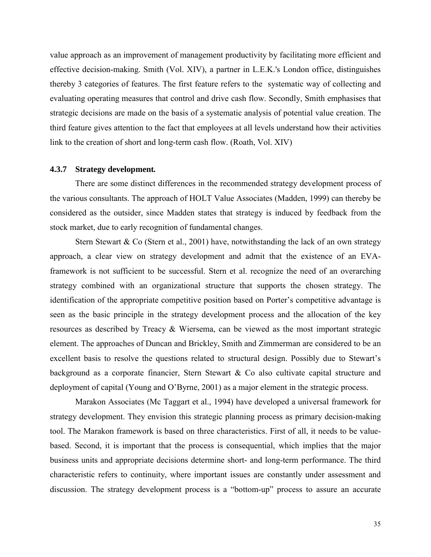value approach as an improvement of management productivity by facilitating more efficient and effective decision-making. Smith (Vol. XIV), a partner in L.E.K.'s London office, distinguishes thereby 3 categories of features. The first feature refers to the systematic way of collecting and evaluating operating measures that control and drive cash flow. Secondly, Smith emphasises that strategic decisions are made on the basis of a systematic analysis of potential value creation. The third feature gives attention to the fact that employees at all levels understand how their activities link to the creation of short and long-term cash flow. (Roath, Vol. XIV)

#### **4.3.7 Strategy development***.*

There are some distinct differences in the recommended strategy development process of the various consultants. The approach of HOLT Value Associates (Madden, 1999) can thereby be considered as the outsider, since Madden states that strategy is induced by feedback from the stock market, due to early recognition of fundamental changes.

Stern Stewart  $\&$  Co (Stern et al., 2001) have, notwithstanding the lack of an own strategy approach, a clear view on strategy development and admit that the existence of an EVAframework is not sufficient to be successful. Stern et al. recognize the need of an overarching strategy combined with an organizational structure that supports the chosen strategy. The identification of the appropriate competitive position based on Porter's competitive advantage is seen as the basic principle in the strategy development process and the allocation of the key resources as described by Treacy & Wiersema, can be viewed as the most important strategic element. The approaches of Duncan and Brickley, Smith and Zimmerman are considered to be an excellent basis to resolve the questions related to structural design. Possibly due to Stewart's background as a corporate financier, Stern Stewart  $\&$  Co also cultivate capital structure and deployment of capital (Young and O'Byrne, 2001) as a major element in the strategic process.

Marakon Associates (Mc Taggart et al., 1994) have developed a universal framework for strategy development. They envision this strategic planning process as primary decision-making tool. The Marakon framework is based on three characteristics. First of all, it needs to be valuebased. Second, it is important that the process is consequential, which implies that the major business units and appropriate decisions determine short- and long-term performance. The third characteristic refers to continuity, where important issues are constantly under assessment and discussion. The strategy development process is a "bottom-up" process to assure an accurate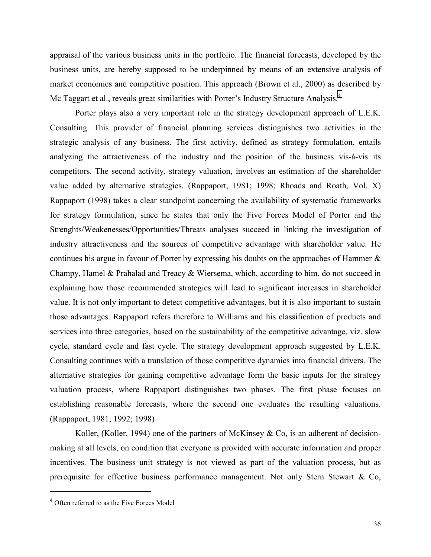appraisal of the various business units in the portfolio. The financial forecasts, developed by the business units, are hereby supposed to be underpinned by means of an extensive analysis of market economics and competitive position. This approach (Brown et al., 2000) as described by Mc Taggart et al., reveals great similarities with Porter's Industry Structure Analysis.<sup>4</sup>

Porter plays also a very important role in the strategy development approach of L.E.K. Consulting. This provider of financial planning services distinguishes two activities in the strategic analysis of any business. The first activity, defined as strategy formulation, entails analyzing the attractiveness of the industry and the position of the business vis- $\dot{a}$ -vis its competitors. The second activity, strategy valuation, involves an estimation of the shareholder value added by alternative strategies. (Rappaport, 1981; 1998; Rhoads and Roath, Vol. X) Rappaport (1998) takes a clear standpoint concerning the availability of systematic frameworks for strategy formulation, since he states that only the Five Forces Model of Porter and the Strenghts/Weakenesses/Opportunities/Threats analyses succeed in linking the investigation of industry attractiveness and the sources of competitive advantage with shareholder value. He continues his argue in favour of Porter by expressing his doubts on the approaches of Hammer & Champy, Hamel & Prahalad and Treacy & Wiersema, which, according to him, do not succeed in explaining how those recommended strategies will lead to significant increases in shareholder value. It is not only important to detect competitive advantages, but it is also important to sustain those advantages. Rappaport refers therefore to Williams and his classification of products and services into three categories, based on the sustainability of the competitive advantage, viz. slow cycle, standard cycle and fast cycle. The strategy development approach suggested by L.E.K. Consulting continues with a translation of those competitive dynamics into financial drivers. The alternative strategies for gaining competitive advantage form the basic inputs for the strategy valuation process, where Rappaport distinguishes two phases. The first phase focuses on establishing reasonable forecasts, where the second one evaluates the resulting valuations. (Rappaport, 1981; 1992; 1998)

Koller, (Koller, 1994) one of the partners of McKinsey & Co, is an adherent of decisionmaking at all levels, on condition that everyone is provided with accurate information and proper incentives. The business unit strategy is not viewed as part of the valuation process, but as prerequisite for effective business performance management. Not only Stern Stewart & Co,

l

<sup>&</sup>lt;sup>4</sup> Often referred to as the Five Forces Model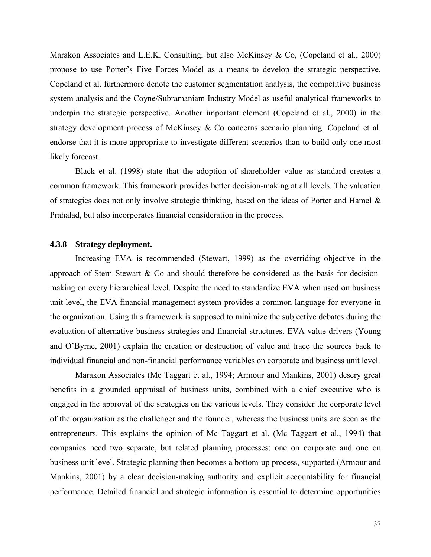Marakon Associates and L.E.K. Consulting, but also McKinsey & Co, (Copeland et al., 2000) propose to use Porter's Five Forces Model as a means to develop the strategic perspective. Copeland et al. furthermore denote the customer segmentation analysis, the competitive business system analysis and the Coyne/Subramaniam Industry Model as useful analytical frameworks to underpin the strategic perspective. Another important element (Copeland et al., 2000) in the strategy development process of McKinsey & Co concerns scenario planning. Copeland et al. endorse that it is more appropriate to investigate different scenarios than to build only one most likely forecast.

Black et al. (1998) state that the adoption of shareholder value as standard creates a common framework. This framework provides better decision-making at all levels. The valuation of strategies does not only involve strategic thinking, based on the ideas of Porter and Hamel & Prahalad, but also incorporates financial consideration in the process.

# **4.3.8 Strategy deployment.**

Increasing EVA is recommended (Stewart, 1999) as the overriding objective in the approach of Stern Stewart & Co and should therefore be considered as the basis for decisionmaking on every hierarchical level. Despite the need to standardize EVA when used on business unit level, the EVA financial management system provides a common language for everyone in the organization. Using this framework is supposed to minimize the subjective debates during the evaluation of alternative business strategies and financial structures. EVA value drivers (Young and OíByrne, 2001) explain the creation or destruction of value and trace the sources back to individual financial and non-financial performance variables on corporate and business unit level.

Marakon Associates (Mc Taggart et al., 1994; Armour and Mankins, 2001) descry great benefits in a grounded appraisal of business units, combined with a chief executive who is engaged in the approval of the strategies on the various levels. They consider the corporate level of the organization as the challenger and the founder, whereas the business units are seen as the entrepreneurs. This explains the opinion of Mc Taggart et al. (Mc Taggart et al., 1994) that companies need two separate, but related planning processes: one on corporate and one on business unit level. Strategic planning then becomes a bottom-up process, supported (Armour and Mankins, 2001) by a clear decision-making authority and explicit accountability for financial performance. Detailed financial and strategic information is essential to determine opportunities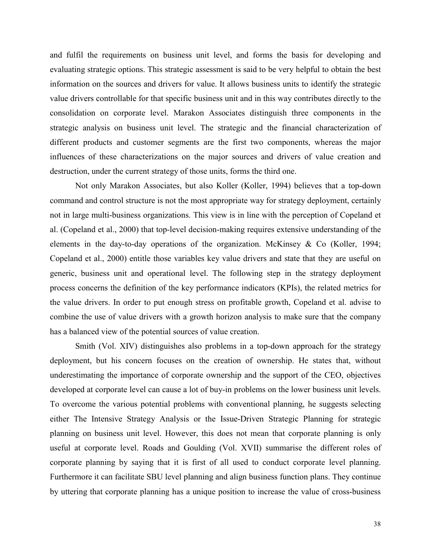and fulfil the requirements on business unit level, and forms the basis for developing and evaluating strategic options. This strategic assessment is said to be very helpful to obtain the best information on the sources and drivers for value. It allows business units to identify the strategic value drivers controllable for that specific business unit and in this way contributes directly to the consolidation on corporate level. Marakon Associates distinguish three components in the strategic analysis on business unit level. The strategic and the financial characterization of different products and customer segments are the first two components, whereas the major influences of these characterizations on the major sources and drivers of value creation and destruction, under the current strategy of those units, forms the third one.

Not only Marakon Associates, but also Koller (Koller, 1994) believes that a top-down command and control structure is not the most appropriate way for strategy deployment, certainly not in large multi-business organizations. This view is in line with the perception of Copeland et al. (Copeland et al., 2000) that top-level decision-making requires extensive understanding of the elements in the day-to-day operations of the organization. McKinsey & Co (Koller, 1994; Copeland et al., 2000) entitle those variables key value drivers and state that they are useful on generic, business unit and operational level. The following step in the strategy deployment process concerns the definition of the key performance indicators (KPIs), the related metrics for the value drivers. In order to put enough stress on profitable growth, Copeland et al. advise to combine the use of value drivers with a growth horizon analysis to make sure that the company has a balanced view of the potential sources of value creation.

Smith (Vol. XIV) distinguishes also problems in a top-down approach for the strategy deployment, but his concern focuses on the creation of ownership. He states that, without underestimating the importance of corporate ownership and the support of the CEO, objectives developed at corporate level can cause a lot of buy-in problems on the lower business unit levels. To overcome the various potential problems with conventional planning, he suggests selecting either The Intensive Strategy Analysis or the Issue-Driven Strategic Planning for strategic planning on business unit level. However, this does not mean that corporate planning is only useful at corporate level. Roads and Goulding (Vol. XVII) summarise the different roles of corporate planning by saying that it is first of all used to conduct corporate level planning. Furthermore it can facilitate SBU level planning and align business function plans. They continue by uttering that corporate planning has a unique position to increase the value of cross-business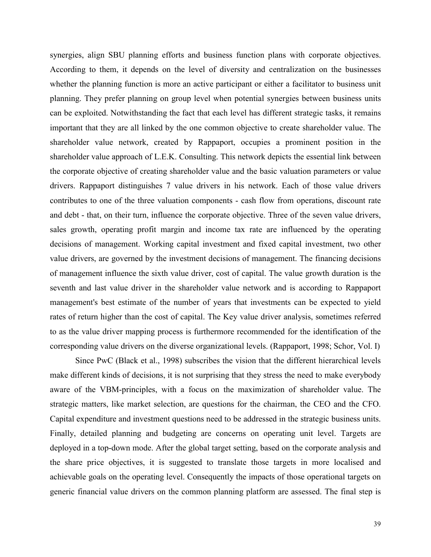synergies, align SBU planning efforts and business function plans with corporate objectives. According to them, it depends on the level of diversity and centralization on the businesses whether the planning function is more an active participant or either a facilitator to business unit planning. They prefer planning on group level when potential synergies between business units can be exploited. Notwithstanding the fact that each level has different strategic tasks, it remains important that they are all linked by the one common objective to create shareholder value. The shareholder value network, created by Rappaport, occupies a prominent position in the shareholder value approach of L.E.K. Consulting. This network depicts the essential link between the corporate objective of creating shareholder value and the basic valuation parameters or value drivers. Rappaport distinguishes 7 value drivers in his network. Each of those value drivers contributes to one of the three valuation components - cash flow from operations, discount rate and debt - that, on their turn, influence the corporate objective. Three of the seven value drivers, sales growth, operating profit margin and income tax rate are influenced by the operating decisions of management. Working capital investment and fixed capital investment, two other value drivers, are governed by the investment decisions of management. The financing decisions of management influence the sixth value driver, cost of capital. The value growth duration is the seventh and last value driver in the shareholder value network and is according to Rappaport management's best estimate of the number of years that investments can be expected to yield rates of return higher than the cost of capital. The Key value driver analysis, sometimes referred to as the value driver mapping process is furthermore recommended for the identification of the corresponding value drivers on the diverse organizational levels. (Rappaport, 1998; Schor, Vol. I)

Since PwC (Black et al., 1998) subscribes the vision that the different hierarchical levels make different kinds of decisions, it is not surprising that they stress the need to make everybody aware of the VBM-principles, with a focus on the maximization of shareholder value. The strategic matters, like market selection, are questions for the chairman, the CEO and the CFO. Capital expenditure and investment questions need to be addressed in the strategic business units. Finally, detailed planning and budgeting are concerns on operating unit level. Targets are deployed in a top-down mode. After the global target setting, based on the corporate analysis and the share price objectives, it is suggested to translate those targets in more localised and achievable goals on the operating level. Consequently the impacts of those operational targets on generic financial value drivers on the common planning platform are assessed. The final step is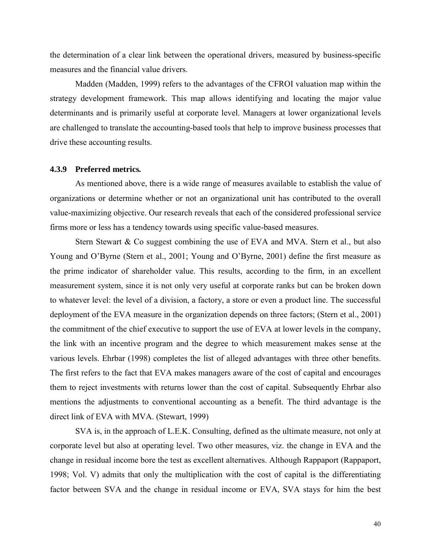the determination of a clear link between the operational drivers, measured by business-specific measures and the financial value drivers.

Madden (Madden, 1999) refers to the advantages of the CFROI valuation map within the strategy development framework. This map allows identifying and locating the major value determinants and is primarily useful at corporate level. Managers at lower organizational levels are challenged to translate the accounting-based tools that help to improve business processes that drive these accounting results.

#### **4.3.9 Preferred metrics***.*

As mentioned above, there is a wide range of measures available to establish the value of organizations or determine whether or not an organizational unit has contributed to the overall value-maximizing objective. Our research reveals that each of the considered professional service firms more or less has a tendency towards using specific value-based measures.

Stern Stewart  $\&$  Co suggest combining the use of EVA and MVA. Stern et al., but also Young and O'Byrne (Stern et al., 2001; Young and O'Byrne, 2001) define the first measure as the prime indicator of shareholder value. This results, according to the firm, in an excellent measurement system, since it is not only very useful at corporate ranks but can be broken down to whatever level: the level of a division, a factory, a store or even a product line. The successful deployment of the EVA measure in the organization depends on three factors; (Stern et al., 2001) the commitment of the chief executive to support the use of EVA at lower levels in the company, the link with an incentive program and the degree to which measurement makes sense at the various levels. Ehrbar (1998) completes the list of alleged advantages with three other benefits. The first refers to the fact that EVA makes managers aware of the cost of capital and encourages them to reject investments with returns lower than the cost of capital. Subsequently Ehrbar also mentions the adjustments to conventional accounting as a benefit. The third advantage is the direct link of EVA with MVA. (Stewart, 1999)

SVA is, in the approach of L.E.K. Consulting, defined as the ultimate measure, not only at corporate level but also at operating level. Two other measures, viz. the change in EVA and the change in residual income bore the test as excellent alternatives. Although Rappaport (Rappaport, 1998; Vol. V) admits that only the multiplication with the cost of capital is the differentiating factor between SVA and the change in residual income or EVA, SVA stays for him the best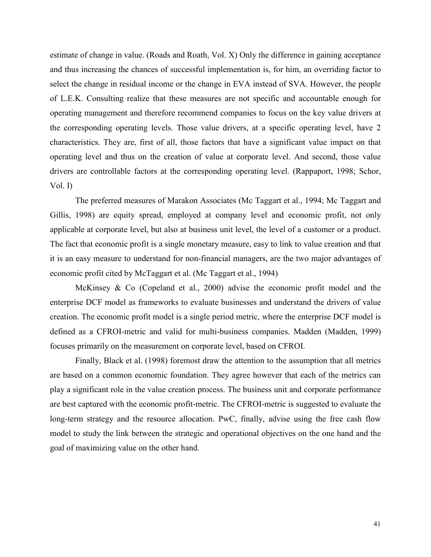estimate of change in value. (Roads and Roath, Vol. X) Only the difference in gaining acceptance and thus increasing the chances of successful implementation is, for him, an overriding factor to select the change in residual income or the change in EVA instead of SVA. However, the people of L.E.K. Consulting realize that these measures are not specific and accountable enough for operating management and therefore recommend companies to focus on the key value drivers at the corresponding operating levels. Those value drivers, at a specific operating level, have 2 characteristics. They are, first of all, those factors that have a significant value impact on that operating level and thus on the creation of value at corporate level. And second, those value drivers are controllable factors at the corresponding operating level. (Rappaport, 1998; Schor, Vol. I)

The preferred measures of Marakon Associates (Mc Taggart et al., 1994; Mc Taggart and Gillis, 1998) are equity spread, employed at company level and economic profit, not only applicable at corporate level, but also at business unit level, the level of a customer or a product. The fact that economic profit is a single monetary measure, easy to link to value creation and that it is an easy measure to understand for non-financial managers, are the two major advantages of economic profit cited by McTaggart et al. (Mc Taggart et al., 1994)

McKinsey & Co (Copeland et al., 2000) advise the economic profit model and the enterprise DCF model as frameworks to evaluate businesses and understand the drivers of value creation. The economic profit model is a single period metric, where the enterprise DCF model is defined as a CFROI-metric and valid for multi-business companies. Madden (Madden, 1999) focuses primarily on the measurement on corporate level, based on CFROI.

Finally, Black et al. (1998) foremost draw the attention to the assumption that all metrics are based on a common economic foundation. They agree however that each of the metrics can play a significant role in the value creation process. The business unit and corporate performance are best captured with the economic profit-metric. The CFROI-metric is suggested to evaluate the long-term strategy and the resource allocation. PwC, finally, advise using the free cash flow model to study the link between the strategic and operational objectives on the one hand and the goal of maximizing value on the other hand.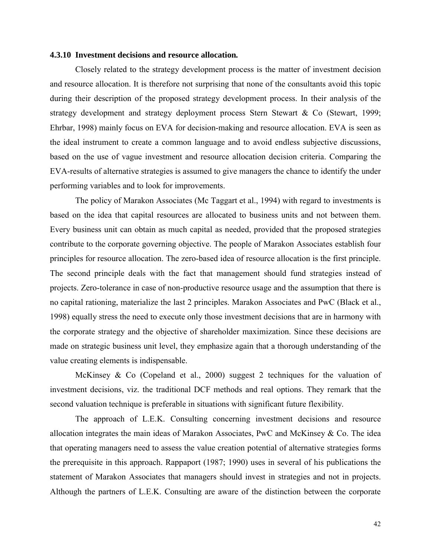#### **4.3.10 Investment decisions and resource allocation***.*

Closely related to the strategy development process is the matter of investment decision and resource allocation. It is therefore not surprising that none of the consultants avoid this topic during their description of the proposed strategy development process. In their analysis of the strategy development and strategy deployment process Stern Stewart & Co (Stewart, 1999; Ehrbar, 1998) mainly focus on EVA for decision-making and resource allocation. EVA is seen as the ideal instrument to create a common language and to avoid endless subjective discussions, based on the use of vague investment and resource allocation decision criteria. Comparing the EVA-results of alternative strategies is assumed to give managers the chance to identify the under performing variables and to look for improvements.

The policy of Marakon Associates (Mc Taggart et al., 1994) with regard to investments is based on the idea that capital resources are allocated to business units and not between them. Every business unit can obtain as much capital as needed, provided that the proposed strategies contribute to the corporate governing objective. The people of Marakon Associates establish four principles for resource allocation. The zero-based idea of resource allocation is the first principle. The second principle deals with the fact that management should fund strategies instead of projects. Zero-tolerance in case of non-productive resource usage and the assumption that there is no capital rationing, materialize the last 2 principles. Marakon Associates and PwC (Black et al., 1998) equally stress the need to execute only those investment decisions that are in harmony with the corporate strategy and the objective of shareholder maximization. Since these decisions are made on strategic business unit level, they emphasize again that a thorough understanding of the value creating elements is indispensable.

McKinsey & Co (Copeland et al., 2000) suggest 2 techniques for the valuation of investment decisions, viz. the traditional DCF methods and real options. They remark that the second valuation technique is preferable in situations with significant future flexibility.

The approach of L.E.K. Consulting concerning investment decisions and resource allocation integrates the main ideas of Marakon Associates, PwC and McKinsey & Co. The idea that operating managers need to assess the value creation potential of alternative strategies forms the prerequisite in this approach. Rappaport (1987; 1990) uses in several of his publications the statement of Marakon Associates that managers should invest in strategies and not in projects. Although the partners of L.E.K. Consulting are aware of the distinction between the corporate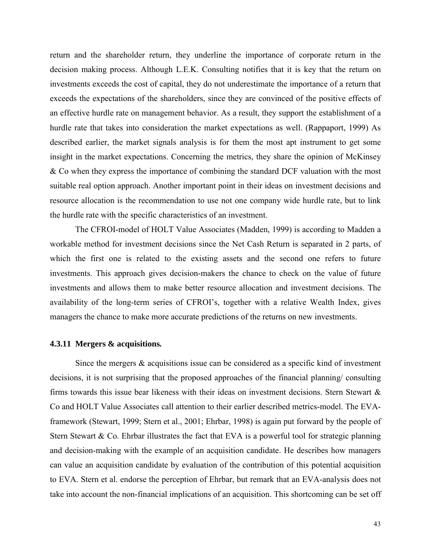return and the shareholder return, they underline the importance of corporate return in the decision making process. Although L.E.K. Consulting notifies that it is key that the return on investments exceeds the cost of capital, they do not underestimate the importance of a return that exceeds the expectations of the shareholders, since they are convinced of the positive effects of an effective hurdle rate on management behavior. As a result, they support the establishment of a hurdle rate that takes into consideration the market expectations as well. (Rappaport, 1999) As described earlier, the market signals analysis is for them the most apt instrument to get some insight in the market expectations. Concerning the metrics, they share the opinion of McKinsey & Co when they express the importance of combining the standard DCF valuation with the most suitable real option approach. Another important point in their ideas on investment decisions and resource allocation is the recommendation to use not one company wide hurdle rate, but to link the hurdle rate with the specific characteristics of an investment.

The CFROI-model of HOLT Value Associates (Madden, 1999) is according to Madden a workable method for investment decisions since the Net Cash Return is separated in 2 parts, of which the first one is related to the existing assets and the second one refers to future investments. This approach gives decision-makers the chance to check on the value of future investments and allows them to make better resource allocation and investment decisions. The availability of the long-term series of CFROI's, together with a relative Wealth Index, gives managers the chance to make more accurate predictions of the returns on new investments.

### **4.3.11 Mergers & acquisitions***.*

Since the mergers & acquisitions issue can be considered as a specific kind of investment decisions, it is not surprising that the proposed approaches of the financial planning/ consulting firms towards this issue bear likeness with their ideas on investment decisions. Stern Stewart & Co and HOLT Value Associates call attention to their earlier described metrics-model. The EVAframework (Stewart, 1999; Stern et al., 2001; Ehrbar, 1998) is again put forward by the people of Stern Stewart & Co. Ehrbar illustrates the fact that EVA is a powerful tool for strategic planning and decision-making with the example of an acquisition candidate. He describes how managers can value an acquisition candidate by evaluation of the contribution of this potential acquisition to EVA. Stern et al. endorse the perception of Ehrbar, but remark that an EVA-analysis does not take into account the non-financial implications of an acquisition. This shortcoming can be set off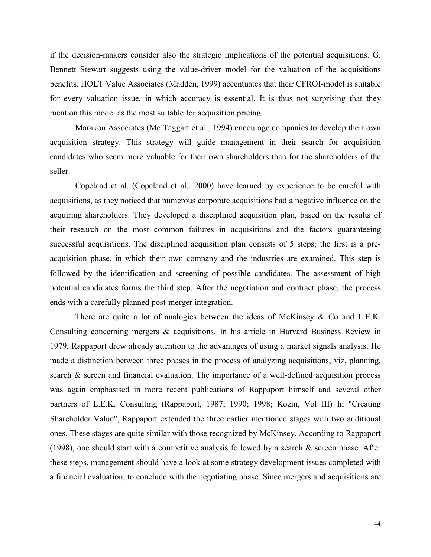if the decision-makers consider also the strategic implications of the potential acquisitions. G. Bennett Stewart suggests using the value-driver model for the valuation of the acquisitions benefits. HOLT Value Associates (Madden, 1999) accentuates that their CFROI-model is suitable for every valuation issue, in which accuracy is essential. It is thus not surprising that they mention this model as the most suitable for acquisition pricing.

Marakon Associates (Mc Taggart et al., 1994) encourage companies to develop their own acquisition strategy. This strategy will guide management in their search for acquisition candidates who seem more valuable for their own shareholders than for the shareholders of the seller.

Copeland et al. (Copeland et al., 2000) have learned by experience to be careful with acquisitions, as they noticed that numerous corporate acquisitions had a negative influence on the acquiring shareholders. They developed a disciplined acquisition plan, based on the results of their research on the most common failures in acquisitions and the factors guaranteeing successful acquisitions. The disciplined acquisition plan consists of 5 steps; the first is a preacquisition phase, in which their own company and the industries are examined. This step is followed by the identification and screening of possible candidates. The assessment of high potential candidates forms the third step. After the negotiation and contract phase, the process ends with a carefully planned post-merger integration.

There are quite a lot of analogies between the ideas of McKinsey & Co and L.E.K. Consulting concerning mergers & acquisitions. In his article in Harvard Business Review in 1979, Rappaport drew already attention to the advantages of using a market signals analysis. He made a distinction between three phases in the process of analyzing acquisitions, viz. planning, search & screen and financial evaluation. The importance of a well-defined acquisition process was again emphasised in more recent publications of Rappaport himself and several other partners of L.E.K. Consulting (Rappaport, 1987; 1990; 1998; Kozin, Vol III) In "Creating Shareholder Value", Rappaport extended the three earlier mentioned stages with two additional ones. These stages are quite similar with those recognized by McKinsey. According to Rappaport (1998), one should start with a competitive analysis followed by a search  $\&$  screen phase. After these steps, management should have a look at some strategy development issues completed with a financial evaluation, to conclude with the negotiating phase. Since mergers and acquisitions are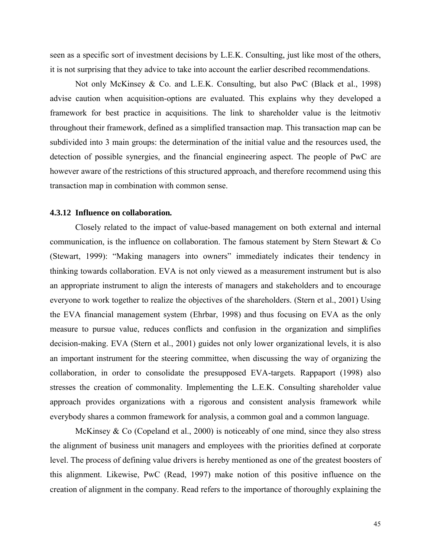seen as a specific sort of investment decisions by L.E.K. Consulting, just like most of the others, it is not surprising that they advice to take into account the earlier described recommendations.

Not only McKinsey & Co. and L.E.K. Consulting, but also PwC (Black et al., 1998) advise caution when acquisition-options are evaluated. This explains why they developed a framework for best practice in acquisitions. The link to shareholder value is the leitmotiv throughout their framework, defined as a simplified transaction map. This transaction map can be subdivided into 3 main groups: the determination of the initial value and the resources used, the detection of possible synergies, and the financial engineering aspect. The people of PwC are however aware of the restrictions of this structured approach, and therefore recommend using this transaction map in combination with common sense.

# **4.3.12 Influence on collaboration***.*

Closely related to the impact of value-based management on both external and internal communication, is the influence on collaboration. The famous statement by Stern Stewart  $\& Co$ (Stewart, 1999): "Making managers into owners" immediately indicates their tendency in thinking towards collaboration. EVA is not only viewed as a measurement instrument but is also an appropriate instrument to align the interests of managers and stakeholders and to encourage everyone to work together to realize the objectives of the shareholders. (Stern et al., 2001) Using the EVA financial management system (Ehrbar, 1998) and thus focusing on EVA as the only measure to pursue value, reduces conflicts and confusion in the organization and simplifies decision-making. EVA (Stern et al., 2001) guides not only lower organizational levels, it is also an important instrument for the steering committee, when discussing the way of organizing the collaboration, in order to consolidate the presupposed EVA-targets. Rappaport (1998) also stresses the creation of commonality. Implementing the L.E.K. Consulting shareholder value approach provides organizations with a rigorous and consistent analysis framework while everybody shares a common framework for analysis, a common goal and a common language.

McKinsey & Co (Copeland et al., 2000) is noticeably of one mind, since they also stress the alignment of business unit managers and employees with the priorities defined at corporate level. The process of defining value drivers is hereby mentioned as one of the greatest boosters of this alignment. Likewise, PwC (Read, 1997) make notion of this positive influence on the creation of alignment in the company. Read refers to the importance of thoroughly explaining the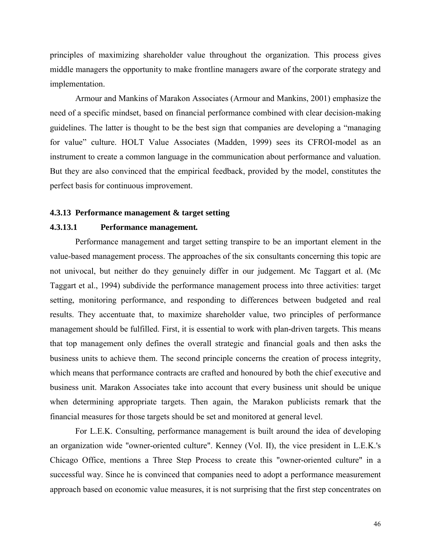principles of maximizing shareholder value throughout the organization. This process gives middle managers the opportunity to make frontline managers aware of the corporate strategy and implementation.

Armour and Mankins of Marakon Associates (Armour and Mankins, 2001) emphasize the need of a specific mindset, based on financial performance combined with clear decision-making guidelines. The latter is thought to be the best sign that companies are developing a "managing" for value" culture. HOLT Value Associates (Madden, 1999) sees its CFROI-model as an instrument to create a common language in the communication about performance and valuation. But they are also convinced that the empirical feedback, provided by the model, constitutes the perfect basis for continuous improvement.

# **4.3.13 Performance management & target setting**

#### **4.3.13.1 Performance management***.*

Performance management and target setting transpire to be an important element in the value-based management process. The approaches of the six consultants concerning this topic are not univocal, but neither do they genuinely differ in our judgement. Mc Taggart et al. (Mc Taggart et al., 1994) subdivide the performance management process into three activities: target setting, monitoring performance, and responding to differences between budgeted and real results. They accentuate that, to maximize shareholder value, two principles of performance management should be fulfilled. First, it is essential to work with plan-driven targets. This means that top management only defines the overall strategic and financial goals and then asks the business units to achieve them. The second principle concerns the creation of process integrity, which means that performance contracts are crafted and honoured by both the chief executive and business unit. Marakon Associates take into account that every business unit should be unique when determining appropriate targets. Then again, the Marakon publicists remark that the financial measures for those targets should be set and monitored at general level.

For L.E.K. Consulting, performance management is built around the idea of developing an organization wide "owner-oriented culture". Kenney (Vol. II), the vice president in L.E.K.'s Chicago Office, mentions a Three Step Process to create this "owner-oriented culture" in a successful way. Since he is convinced that companies need to adopt a performance measurement approach based on economic value measures, it is not surprising that the first step concentrates on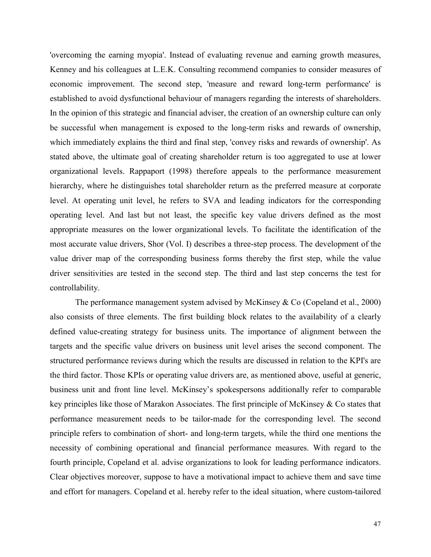'overcoming the earning myopia'. Instead of evaluating revenue and earning growth measures, Kenney and his colleagues at L.E.K. Consulting recommend companies to consider measures of economic improvement. The second step, 'measure and reward long-term performance' is established to avoid dysfunctional behaviour of managers regarding the interests of shareholders. In the opinion of this strategic and financial adviser, the creation of an ownership culture can only be successful when management is exposed to the long-term risks and rewards of ownership, which immediately explains the third and final step, 'convey risks and rewards of ownership'. As stated above, the ultimate goal of creating shareholder return is too aggregated to use at lower organizational levels. Rappaport (1998) therefore appeals to the performance measurement hierarchy, where he distinguishes total shareholder return as the preferred measure at corporate level. At operating unit level, he refers to SVA and leading indicators for the corresponding operating level. And last but not least, the specific key value drivers defined as the most appropriate measures on the lower organizational levels. To facilitate the identification of the most accurate value drivers, Shor (Vol. I) describes a three-step process. The development of the value driver map of the corresponding business forms thereby the first step, while the value driver sensitivities are tested in the second step. The third and last step concerns the test for controllability.

The performance management system advised by McKinsey & Co (Copeland et al., 2000) also consists of three elements. The first building block relates to the availability of a clearly defined value-creating strategy for business units. The importance of alignment between the targets and the specific value drivers on business unit level arises the second component. The structured performance reviews during which the results are discussed in relation to the KPI's are the third factor. Those KPIs or operating value drivers are, as mentioned above, useful at generic, business unit and front line level. McKinsey's spokespersons additionally refer to comparable key principles like those of Marakon Associates. The first principle of McKinsey & Co states that performance measurement needs to be tailor-made for the corresponding level. The second principle refers to combination of short- and long-term targets, while the third one mentions the necessity of combining operational and financial performance measures. With regard to the fourth principle, Copeland et al. advise organizations to look for leading performance indicators. Clear objectives moreover, suppose to have a motivational impact to achieve them and save time and effort for managers. Copeland et al. hereby refer to the ideal situation, where custom-tailored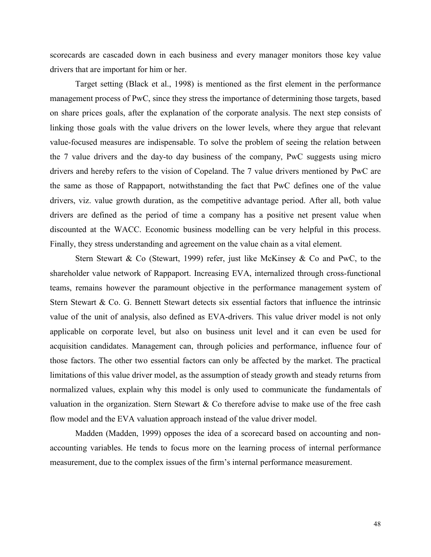scorecards are cascaded down in each business and every manager monitors those key value drivers that are important for him or her.

Target setting (Black et al., 1998) is mentioned as the first element in the performance management process of PwC, since they stress the importance of determining those targets, based on share prices goals, after the explanation of the corporate analysis. The next step consists of linking those goals with the value drivers on the lower levels, where they argue that relevant value-focused measures are indispensable. To solve the problem of seeing the relation between the 7 value drivers and the day-to day business of the company, PwC suggests using micro drivers and hereby refers to the vision of Copeland. The 7 value drivers mentioned by PwC are the same as those of Rappaport, notwithstanding the fact that PwC defines one of the value drivers, viz. value growth duration, as the competitive advantage period. After all, both value drivers are defined as the period of time a company has a positive net present value when discounted at the WACC. Economic business modelling can be very helpful in this process. Finally, they stress understanding and agreement on the value chain as a vital element.

Stern Stewart & Co (Stewart, 1999) refer, just like McKinsey & Co and PwC, to the shareholder value network of Rappaport. Increasing EVA, internalized through cross-functional teams, remains however the paramount objective in the performance management system of Stern Stewart & Co. G. Bennett Stewart detects six essential factors that influence the intrinsic value of the unit of analysis, also defined as EVA-drivers. This value driver model is not only applicable on corporate level, but also on business unit level and it can even be used for acquisition candidates. Management can, through policies and performance, influence four of those factors. The other two essential factors can only be affected by the market. The practical limitations of this value driver model, as the assumption of steady growth and steady returns from normalized values, explain why this model is only used to communicate the fundamentals of valuation in the organization. Stern Stewart  $\&$  Co therefore advise to make use of the free cash flow model and the EVA valuation approach instead of the value driver model.

Madden (Madden, 1999) opposes the idea of a scorecard based on accounting and nonaccounting variables. He tends to focus more on the learning process of internal performance measurement, due to the complex issues of the firm's internal performance measurement.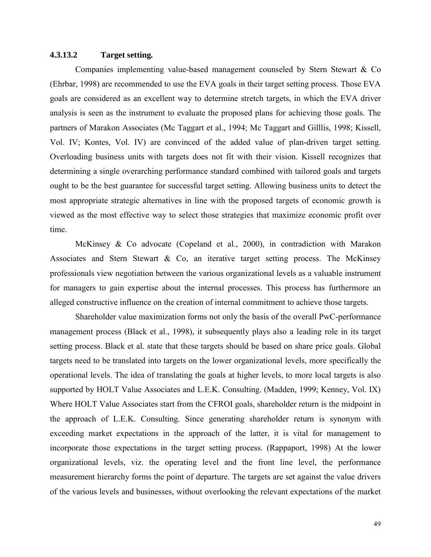# **4.3.13.2 Target setting***.*

Companies implementing value-based management counseled by Stern Stewart & Co (Ehrbar, 1998) are recommended to use the EVA goals in their target setting process. Those EVA goals are considered as an excellent way to determine stretch targets, in which the EVA driver analysis is seen as the instrument to evaluate the proposed plans for achieving those goals. The partners of Marakon Associates (Mc Taggart et al., 1994; Mc Taggart and Gilllis, 1998; Kissell, Vol. IV; Kontes, Vol. IV) are convinced of the added value of plan-driven target setting. Overloading business units with targets does not fit with their vision. Kissell recognizes that determining a single overarching performance standard combined with tailored goals and targets ought to be the best guarantee for successful target setting. Allowing business units to detect the most appropriate strategic alternatives in line with the proposed targets of economic growth is viewed as the most effective way to select those strategies that maximize economic profit over time.

McKinsey & Co advocate (Copeland et al., 2000), in contradiction with Marakon Associates and Stern Stewart & Co, an iterative target setting process. The McKinsey professionals view negotiation between the various organizational levels as a valuable instrument for managers to gain expertise about the internal processes. This process has furthermore an alleged constructive influence on the creation of internal commitment to achieve those targets.

Shareholder value maximization forms not only the basis of the overall PwC-performance management process (Black et al., 1998), it subsequently plays also a leading role in its target setting process. Black et al. state that these targets should be based on share price goals. Global targets need to be translated into targets on the lower organizational levels, more specifically the operational levels. The idea of translating the goals at higher levels, to more local targets is also supported by HOLT Value Associates and L.E.K. Consulting. (Madden, 1999; Kenney, Vol. IX) Where HOLT Value Associates start from the CFROI goals, shareholder return is the midpoint in the approach of L.E.K. Consulting. Since generating shareholder return is synonym with exceeding market expectations in the approach of the latter, it is vital for management to incorporate those expectations in the target setting process. (Rappaport, 1998) At the lower organizational levels, viz. the operating level and the front line level, the performance measurement hierarchy forms the point of departure. The targets are set against the value drivers of the various levels and businesses, without overlooking the relevant expectations of the market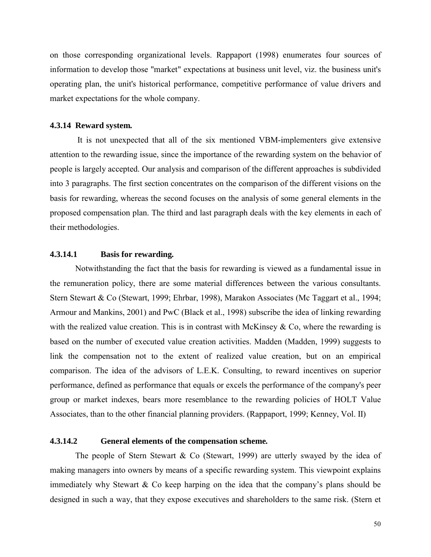on those corresponding organizational levels. Rappaport (1998) enumerates four sources of information to develop those "market" expectations at business unit level, viz. the business unit's operating plan, the unit's historical performance, competitive performance of value drivers and market expectations for the whole company.

### **4.3.14 Reward system***.*

It is not unexpected that all of the six mentioned VBM-implementers give extensive attention to the rewarding issue, since the importance of the rewarding system on the behavior of people is largely accepted. Our analysis and comparison of the different approaches is subdivided into 3 paragraphs. The first section concentrates on the comparison of the different visions on the basis for rewarding, whereas the second focuses on the analysis of some general elements in the proposed compensation plan. The third and last paragraph deals with the key elements in each of their methodologies.

### **4.3.14.1 Basis for rewarding***.*

Notwithstanding the fact that the basis for rewarding is viewed as a fundamental issue in the remuneration policy, there are some material differences between the various consultants. Stern Stewart & Co (Stewart, 1999; Ehrbar, 1998), Marakon Associates (Mc Taggart et al., 1994; Armour and Mankins, 2001) and PwC (Black et al., 1998) subscribe the idea of linking rewarding with the realized value creation. This is in contrast with McKinsey  $\&$  Co, where the rewarding is based on the number of executed value creation activities. Madden (Madden, 1999) suggests to link the compensation not to the extent of realized value creation, but on an empirical comparison. The idea of the advisors of L.E.K. Consulting, to reward incentives on superior performance, defined as performance that equals or excels the performance of the company's peer group or market indexes, bears more resemblance to the rewarding policies of HOLT Value Associates, than to the other financial planning providers. (Rappaport, 1999; Kenney, Vol. II)

# **4.3.14.2 General elements of the compensation scheme***.*

The people of Stern Stewart & Co (Stewart, 1999) are utterly swayed by the idea of making managers into owners by means of a specific rewarding system. This viewpoint explains immediately why Stewart  $\&$  Co keep harping on the idea that the company's plans should be designed in such a way, that they expose executives and shareholders to the same risk. (Stern et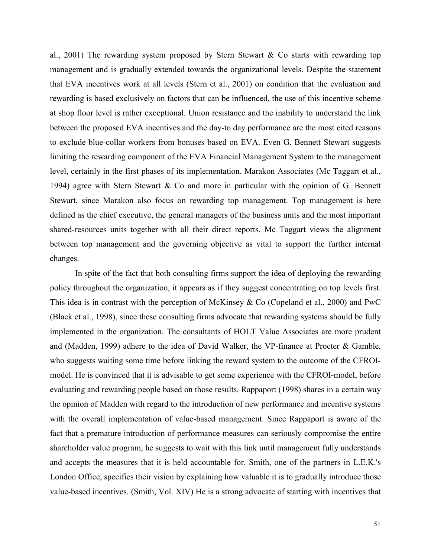al., 2001) The rewarding system proposed by Stern Stewart & Co starts with rewarding top management and is gradually extended towards the organizational levels. Despite the statement that EVA incentives work at all levels (Stern et al., 2001) on condition that the evaluation and rewarding is based exclusively on factors that can be influenced, the use of this incentive scheme at shop floor level is rather exceptional. Union resistance and the inability to understand the link between the proposed EVA incentives and the day-to day performance are the most cited reasons to exclude blue-collar workers from bonuses based on EVA. Even G. Bennett Stewart suggests limiting the rewarding component of the EVA Financial Management System to the management level, certainly in the first phases of its implementation. Marakon Associates (Mc Taggart et al., 1994) agree with Stern Stewart & Co and more in particular with the opinion of G. Bennett Stewart, since Marakon also focus on rewarding top management. Top management is here defined as the chief executive, the general managers of the business units and the most important shared-resources units together with all their direct reports. Mc Taggart views the alignment between top management and the governing objective as vital to support the further internal changes.

In spite of the fact that both consulting firms support the idea of deploying the rewarding policy throughout the organization, it appears as if they suggest concentrating on top levels first. This idea is in contrast with the perception of McKinsey & Co (Copeland et al., 2000) and PwC (Black et al., 1998), since these consulting firms advocate that rewarding systems should be fully implemented in the organization. The consultants of HOLT Value Associates are more prudent and (Madden, 1999) adhere to the idea of David Walker, the VP-finance at Procter & Gamble, who suggests waiting some time before linking the reward system to the outcome of the CFROImodel. He is convinced that it is advisable to get some experience with the CFROI-model, before evaluating and rewarding people based on those results. Rappaport (1998) shares in a certain way the opinion of Madden with regard to the introduction of new performance and incentive systems with the overall implementation of value-based management. Since Rappaport is aware of the fact that a premature introduction of performance measures can seriously compromise the entire shareholder value program, he suggests to wait with this link until management fully understands and accepts the measures that it is held accountable for. Smith, one of the partners in L.E.K.'s London Office, specifies their vision by explaining how valuable it is to gradually introduce those value-based incentives. (Smith, Vol. XIV) He is a strong advocate of starting with incentives that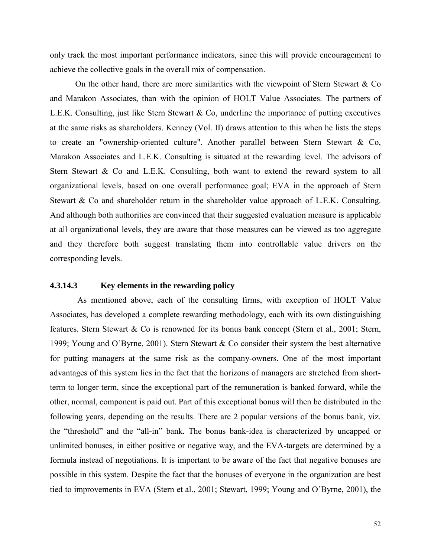only track the most important performance indicators, since this will provide encouragement to achieve the collective goals in the overall mix of compensation.

On the other hand, there are more similarities with the viewpoint of Stern Stewart & Co and Marakon Associates, than with the opinion of HOLT Value Associates. The partners of L.E.K. Consulting, just like Stern Stewart & Co, underline the importance of putting executives at the same risks as shareholders. Kenney (Vol. II) draws attention to this when he lists the steps to create an "ownership-oriented culture". Another parallel between Stern Stewart & Co, Marakon Associates and L.E.K. Consulting is situated at the rewarding level. The advisors of Stern Stewart & Co and L.E.K. Consulting, both want to extend the reward system to all organizational levels, based on one overall performance goal; EVA in the approach of Stern Stewart & Co and shareholder return in the shareholder value approach of L.E.K. Consulting. And although both authorities are convinced that their suggested evaluation measure is applicable at all organizational levels, they are aware that those measures can be viewed as too aggregate and they therefore both suggest translating them into controllable value drivers on the corresponding levels.

### **4.3.14.3 Key elements in the rewarding policy**

As mentioned above, each of the consulting firms, with exception of HOLT Value Associates, has developed a complete rewarding methodology, each with its own distinguishing features. Stern Stewart & Co is renowned for its bonus bank concept (Stern et al., 2001; Stern, 1999; Young and OíByrne, 2001). Stern Stewart & Co consider their system the best alternative for putting managers at the same risk as the company-owners. One of the most important advantages of this system lies in the fact that the horizons of managers are stretched from shortterm to longer term, since the exceptional part of the remuneration is banked forward, while the other, normal, component is paid out. Part of this exceptional bonus will then be distributed in the following years, depending on the results. There are 2 popular versions of the bonus bank, viz. the "threshold" and the "all-in" bank. The bonus bank-idea is characterized by uncapped or unlimited bonuses, in either positive or negative way, and the EVA-targets are determined by a formula instead of negotiations. It is important to be aware of the fact that negative bonuses are possible in this system. Despite the fact that the bonuses of everyone in the organization are best tied to improvements in EVA (Stern et al., 2001; Stewart, 1999; Young and O'Byrne, 2001), the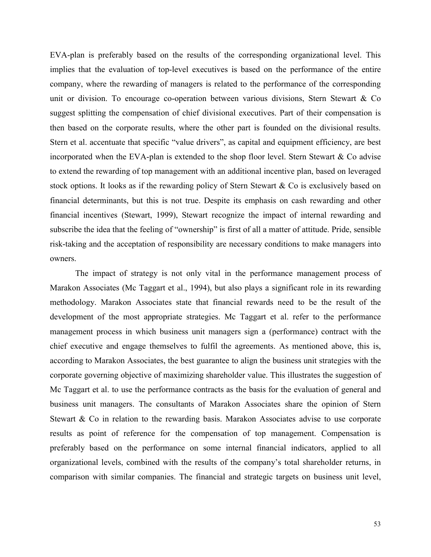EVA-plan is preferably based on the results of the corresponding organizational level. This implies that the evaluation of top-level executives is based on the performance of the entire company, where the rewarding of managers is related to the performance of the corresponding unit or division. To encourage co-operation between various divisions, Stern Stewart & Co suggest splitting the compensation of chief divisional executives. Part of their compensation is then based on the corporate results, where the other part is founded on the divisional results. Stern et al. accentuate that specific "value drivers", as capital and equipment efficiency, are best incorporated when the EVA-plan is extended to the shop floor level. Stern Stewart & Co advise to extend the rewarding of top management with an additional incentive plan, based on leveraged stock options. It looks as if the rewarding policy of Stern Stewart & Co is exclusively based on financial determinants, but this is not true. Despite its emphasis on cash rewarding and other financial incentives (Stewart, 1999), Stewart recognize the impact of internal rewarding and subscribe the idea that the feeling of "ownership" is first of all a matter of attitude. Pride, sensible risk-taking and the acceptation of responsibility are necessary conditions to make managers into owners.

The impact of strategy is not only vital in the performance management process of Marakon Associates (Mc Taggart et al., 1994), but also plays a significant role in its rewarding methodology. Marakon Associates state that financial rewards need to be the result of the development of the most appropriate strategies. Mc Taggart et al. refer to the performance management process in which business unit managers sign a (performance) contract with the chief executive and engage themselves to fulfil the agreements. As mentioned above, this is, according to Marakon Associates, the best guarantee to align the business unit strategies with the corporate governing objective of maximizing shareholder value. This illustrates the suggestion of Mc Taggart et al. to use the performance contracts as the basis for the evaluation of general and business unit managers. The consultants of Marakon Associates share the opinion of Stern Stewart & Co in relation to the rewarding basis. Marakon Associates advise to use corporate results as point of reference for the compensation of top management. Compensation is preferably based on the performance on some internal financial indicators, applied to all organizational levels, combined with the results of the companyís total shareholder returns, in comparison with similar companies. The financial and strategic targets on business unit level,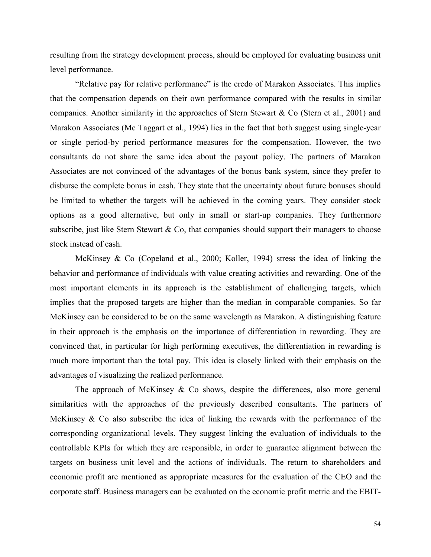resulting from the strategy development process, should be employed for evaluating business unit level performance.

"Relative pay for relative performance" is the credo of Marakon Associates. This implies that the compensation depends on their own performance compared with the results in similar companies. Another similarity in the approaches of Stern Stewart  $\&$  Co (Stern et al., 2001) and Marakon Associates (Mc Taggart et al., 1994) lies in the fact that both suggest using single-year or single period-by period performance measures for the compensation. However, the two consultants do not share the same idea about the payout policy. The partners of Marakon Associates are not convinced of the advantages of the bonus bank system, since they prefer to disburse the complete bonus in cash. They state that the uncertainty about future bonuses should be limited to whether the targets will be achieved in the coming years. They consider stock options as a good alternative, but only in small or start-up companies. They furthermore subscribe, just like Stern Stewart  $& Co$ , that companies should support their managers to choose stock instead of cash.

McKinsey & Co (Copeland et al., 2000; Koller, 1994) stress the idea of linking the behavior and performance of individuals with value creating activities and rewarding. One of the most important elements in its approach is the establishment of challenging targets, which implies that the proposed targets are higher than the median in comparable companies. So far McKinsey can be considered to be on the same wavelength as Marakon. A distinguishing feature in their approach is the emphasis on the importance of differentiation in rewarding. They are convinced that, in particular for high performing executives, the differentiation in rewarding is much more important than the total pay. This idea is closely linked with their emphasis on the advantages of visualizing the realized performance.

The approach of McKinsey  $\&$  Co shows, despite the differences, also more general similarities with the approaches of the previously described consultants. The partners of McKinsey & Co also subscribe the idea of linking the rewards with the performance of the corresponding organizational levels. They suggest linking the evaluation of individuals to the controllable KPIs for which they are responsible, in order to guarantee alignment between the targets on business unit level and the actions of individuals. The return to shareholders and economic profit are mentioned as appropriate measures for the evaluation of the CEO and the corporate staff. Business managers can be evaluated on the economic profit metric and the EBIT-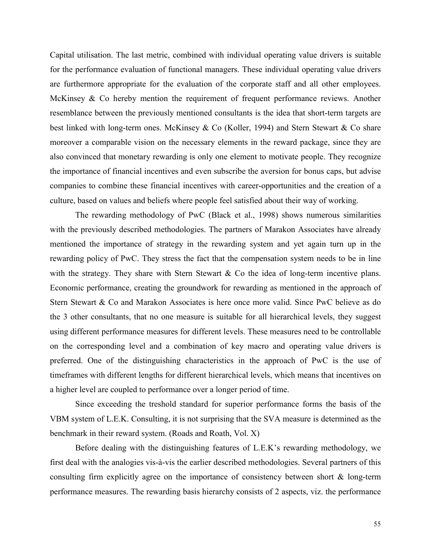Capital utilisation. The last metric, combined with individual operating value drivers is suitable for the performance evaluation of functional managers. These individual operating value drivers are furthermore appropriate for the evaluation of the corporate staff and all other employees. McKinsey & Co hereby mention the requirement of frequent performance reviews. Another resemblance between the previously mentioned consultants is the idea that short-term targets are best linked with long-term ones. McKinsey & Co (Koller, 1994) and Stern Stewart & Co share moreover a comparable vision on the necessary elements in the reward package, since they are also convinced that monetary rewarding is only one element to motivate people. They recognize the importance of financial incentives and even subscribe the aversion for bonus caps, but advise companies to combine these financial incentives with career-opportunities and the creation of a culture, based on values and beliefs where people feel satisfied about their way of working.

The rewarding methodology of PwC (Black et al., 1998) shows numerous similarities with the previously described methodologies. The partners of Marakon Associates have already mentioned the importance of strategy in the rewarding system and yet again turn up in the rewarding policy of PwC. They stress the fact that the compensation system needs to be in line with the strategy. They share with Stern Stewart  $\&$  Co the idea of long-term incentive plans. Economic performance, creating the groundwork for rewarding as mentioned in the approach of Stern Stewart & Co and Marakon Associates is here once more valid. Since PwC believe as do the 3 other consultants, that no one measure is suitable for all hierarchical levels, they suggest using different performance measures for different levels. These measures need to be controllable on the corresponding level and a combination of key macro and operating value drivers is preferred. One of the distinguishing characteristics in the approach of PwC is the use of timeframes with different lengths for different hierarchical levels, which means that incentives on a higher level are coupled to performance over a longer period of time.

Since exceeding the treshold standard for superior performance forms the basis of the VBM system of L.E.K. Consulting, it is not surprising that the SVA measure is determined as the benchmark in their reward system. (Roads and Roath, Vol. X)

Before dealing with the distinguishing features of L.E.K's rewarding methodology, we first deal with the analogies vis-à-vis the earlier described methodologies. Several partners of this consulting firm explicitly agree on the importance of consistency between short & long-term performance measures. The rewarding basis hierarchy consists of 2 aspects, viz. the performance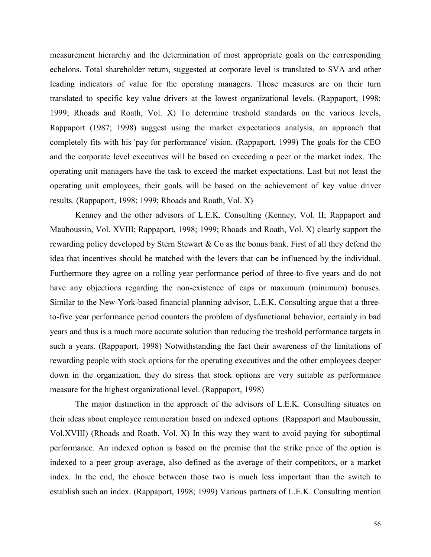measurement hierarchy and the determination of most appropriate goals on the corresponding echelons. Total shareholder return, suggested at corporate level is translated to SVA and other leading indicators of value for the operating managers. Those measures are on their turn translated to specific key value drivers at the lowest organizational levels. (Rappaport, 1998; 1999; Rhoads and Roath, Vol. X) To determine treshold standards on the various levels, Rappaport (1987; 1998) suggest using the market expectations analysis, an approach that completely fits with his 'pay for performance' vision. (Rappaport, 1999) The goals for the CEO and the corporate level executives will be based on exceeding a peer or the market index. The operating unit managers have the task to exceed the market expectations. Last but not least the operating unit employees, their goals will be based on the achievement of key value driver results. (Rappaport, 1998; 1999; Rhoads and Roath, Vol. X)

Kenney and the other advisors of L.E.K. Consulting (Kenney, Vol. II; Rappaport and Mauboussin, Vol. XVIII; Rappaport, 1998; 1999; Rhoads and Roath, Vol. X) clearly support the rewarding policy developed by Stern Stewart & Co as the bonus bank. First of all they defend the idea that incentives should be matched with the levers that can be influenced by the individual. Furthermore they agree on a rolling year performance period of three-to-five years and do not have any objections regarding the non-existence of caps or maximum (minimum) bonuses. Similar to the New-York-based financial planning advisor, L.E.K. Consulting argue that a threeto-five year performance period counters the problem of dysfunctional behavior, certainly in bad years and thus is a much more accurate solution than reducing the treshold performance targets in such a years. (Rappaport, 1998) Notwithstanding the fact their awareness of the limitations of rewarding people with stock options for the operating executives and the other employees deeper down in the organization, they do stress that stock options are very suitable as performance measure for the highest organizational level. (Rappaport, 1998)

The major distinction in the approach of the advisors of L.E.K. Consulting situates on their ideas about employee remuneration based on indexed options. (Rappaport and Mauboussin, Vol.XVIII) (Rhoads and Roath, Vol. X) In this way they want to avoid paying for suboptimal performance. An indexed option is based on the premise that the strike price of the option is indexed to a peer group average, also defined as the average of their competitors, or a market index. In the end, the choice between those two is much less important than the switch to establish such an index. (Rappaport, 1998; 1999) Various partners of L.E.K. Consulting mention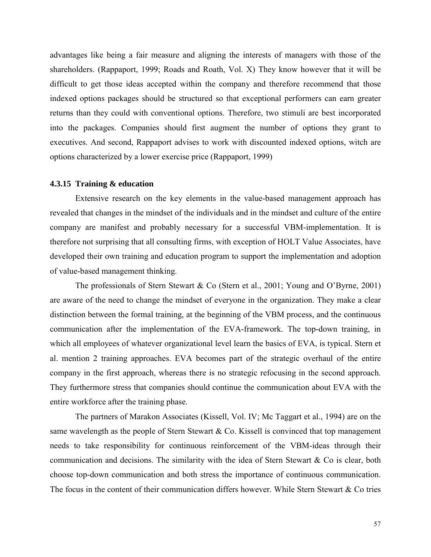advantages like being a fair measure and aligning the interests of managers with those of the shareholders. (Rappaport, 1999; Roads and Roath, Vol. X) They know however that it will be difficult to get those ideas accepted within the company and therefore recommend that those indexed options packages should be structured so that exceptional performers can earn greater returns than they could with conventional options. Therefore, two stimuli are best incorporated into the packages. Companies should first augment the number of options they grant to executives. And second, Rappaport advises to work with discounted indexed options, witch are options characterized by a lower exercise price (Rappaport, 1999)

#### **4.3.15 Training & education**

Extensive research on the key elements in the value-based management approach has revealed that changes in the mindset of the individuals and in the mindset and culture of the entire company are manifest and probably necessary for a successful VBM-implementation. It is therefore not surprising that all consulting firms, with exception of HOLT Value Associates, have developed their own training and education program to support the implementation and adoption of value-based management thinking.

The professionals of Stern Stewart & Co (Stern et al., 2001; Young and O'Byrne, 2001) are aware of the need to change the mindset of everyone in the organization. They make a clear distinction between the formal training, at the beginning of the VBM process, and the continuous communication after the implementation of the EVA-framework. The top-down training, in which all employees of whatever organizational level learn the basics of EVA, is typical. Stern et al. mention 2 training approaches. EVA becomes part of the strategic overhaul of the entire company in the first approach, whereas there is no strategic refocusing in the second approach. They furthermore stress that companies should continue the communication about EVA with the entire workforce after the training phase.

The partners of Marakon Associates (Kissell, Vol. IV; Mc Taggart et al., 1994) are on the same wavelength as the people of Stern Stewart & Co. Kissell is convinced that top management needs to take responsibility for continuous reinforcement of the VBM-ideas through their communication and decisions. The similarity with the idea of Stern Stewart  $\&$  Co is clear, both choose top-down communication and both stress the importance of continuous communication. The focus in the content of their communication differs however. While Stern Stewart & Co tries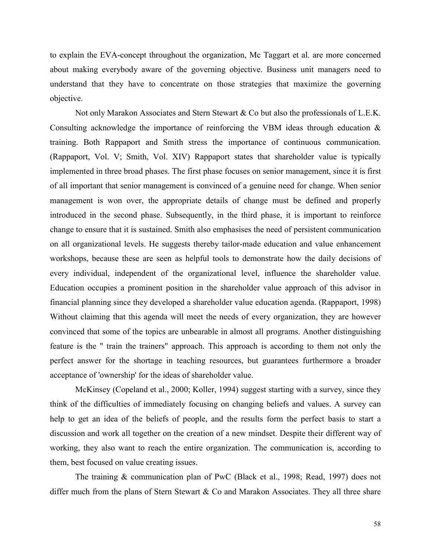to explain the EVA-concept throughout the organization, Mc Taggart et al. are more concerned about making everybody aware of the governing objective. Business unit managers need to understand that they have to concentrate on those strategies that maximize the governing objective.

Not only Marakon Associates and Stern Stewart & Co but also the professionals of L.E.K. Consulting acknowledge the importance of reinforcing the VBM ideas through education & training. Both Rappaport and Smith stress the importance of continuous communication. (Rappaport, Vol. V; Smith, Vol. XIV) Rappaport states that shareholder value is typically implemented in three broad phases. The first phase focuses on senior management, since it is first of all important that senior management is convinced of a genuine need for change. When senior management is won over, the appropriate details of change must be defined and properly introduced in the second phase. Subsequently, in the third phase, it is important to reinforce change to ensure that it is sustained. Smith also emphasises the need of persistent communication on all organizational levels. He suggests thereby tailor-made education and value enhancement workshops, because these are seen as helpful tools to demonstrate how the daily decisions of every individual, independent of the organizational level, influence the shareholder value. Education occupies a prominent position in the shareholder value approach of this advisor in financial planning since they developed a shareholder value education agenda. (Rappaport, 1998) Without claiming that this agenda will meet the needs of every organization, they are however convinced that some of the topics are unbearable in almost all programs. Another distinguishing feature is the " train the trainers" approach. This approach is according to them not only the perfect answer for the shortage in teaching resources, but guarantees furthermore a broader acceptance of 'ownership' for the ideas of shareholder value.

McKinsey (Copeland et al., 2000; Koller, 1994) suggest starting with a survey, since they think of the difficulties of immediately focusing on changing beliefs and values. A survey can help to get an idea of the beliefs of people, and the results form the perfect basis to start a discussion and work all together on the creation of a new mindset. Despite their different way of working, they also want to reach the entire organization. The communication is, according to them, best focused on value creating issues.

The training & communication plan of PwC (Black et al., 1998; Read, 1997) does not differ much from the plans of Stern Stewart & Co and Marakon Associates. They all three share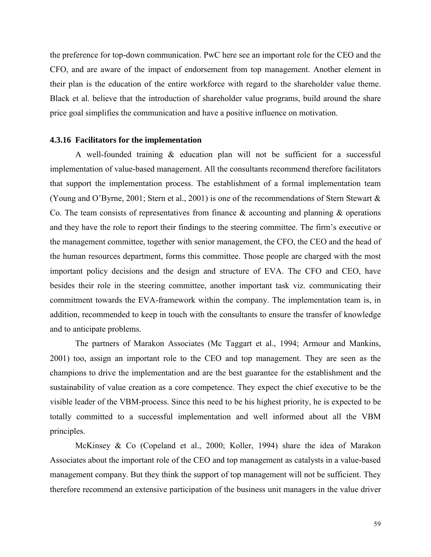the preference for top-down communication. PwC here see an important role for the CEO and the CFO, and are aware of the impact of endorsement from top management. Another element in their plan is the education of the entire workforce with regard to the shareholder value theme. Black et al. believe that the introduction of shareholder value programs, build around the share price goal simplifies the communication and have a positive influence on motivation.

## **4.3.16 Facilitators for the implementation**

A well-founded training & education plan will not be sufficient for a successful implementation of value-based management. All the consultants recommend therefore facilitators that support the implementation process. The establishment of a formal implementation team (Young and O'Byrne, 2001; Stern et al., 2001) is one of the recommendations of Stern Stewart  $\&$ Co. The team consists of representatives from finance  $\&$  accounting and planning  $\&$  operations and they have the role to report their findings to the steering committee. The firm's executive or the management committee, together with senior management, the CFO, the CEO and the head of the human resources department, forms this committee. Those people are charged with the most important policy decisions and the design and structure of EVA. The CFO and CEO, have besides their role in the steering committee, another important task viz. communicating their commitment towards the EVA-framework within the company. The implementation team is, in addition, recommended to keep in touch with the consultants to ensure the transfer of knowledge and to anticipate problems.

The partners of Marakon Associates (Mc Taggart et al., 1994; Armour and Mankins, 2001) too, assign an important role to the CEO and top management. They are seen as the champions to drive the implementation and are the best guarantee for the establishment and the sustainability of value creation as a core competence. They expect the chief executive to be the visible leader of the VBM-process. Since this need to be his highest priority, he is expected to be totally committed to a successful implementation and well informed about all the VBM principles.

McKinsey & Co (Copeland et al., 2000; Koller, 1994) share the idea of Marakon Associates about the important role of the CEO and top management as catalysts in a value-based management company. But they think the support of top management will not be sufficient. They therefore recommend an extensive participation of the business unit managers in the value driver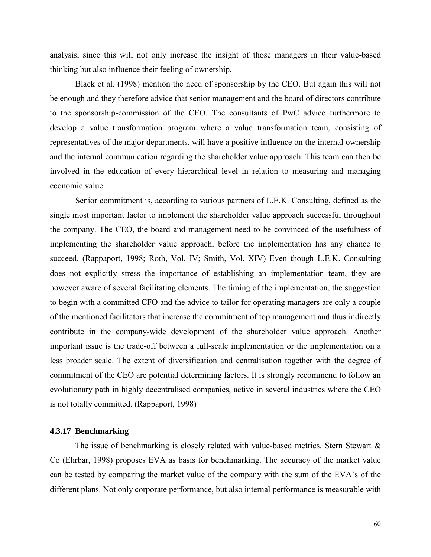analysis, since this will not only increase the insight of those managers in their value-based thinking but also influence their feeling of ownership.

Black et al. (1998) mention the need of sponsorship by the CEO. But again this will not be enough and they therefore advice that senior management and the board of directors contribute to the sponsorship-commission of the CEO. The consultants of PwC advice furthermore to develop a value transformation program where a value transformation team, consisting of representatives of the major departments, will have a positive influence on the internal ownership and the internal communication regarding the shareholder value approach. This team can then be involved in the education of every hierarchical level in relation to measuring and managing economic value.

Senior commitment is, according to various partners of L.E.K. Consulting, defined as the single most important factor to implement the shareholder value approach successful throughout the company. The CEO, the board and management need to be convinced of the usefulness of implementing the shareholder value approach, before the implementation has any chance to succeed. (Rappaport, 1998; Roth, Vol. IV; Smith, Vol. XIV) Even though L.E.K. Consulting does not explicitly stress the importance of establishing an implementation team, they are however aware of several facilitating elements. The timing of the implementation, the suggestion to begin with a committed CFO and the advice to tailor for operating managers are only a couple of the mentioned facilitators that increase the commitment of top management and thus indirectly contribute in the company-wide development of the shareholder value approach. Another important issue is the trade-off between a full-scale implementation or the implementation on a less broader scale. The extent of diversification and centralisation together with the degree of commitment of the CEO are potential determining factors. It is strongly recommend to follow an evolutionary path in highly decentralised companies, active in several industries where the CEO is not totally committed. (Rappaport, 1998)

# **4.3.17 Benchmarking**

The issue of benchmarking is closely related with value-based metrics. Stern Stewart & Co (Ehrbar, 1998) proposes EVA as basis for benchmarking. The accuracy of the market value can be tested by comparing the market value of the company with the sum of the EVA's of the different plans. Not only corporate performance, but also internal performance is measurable with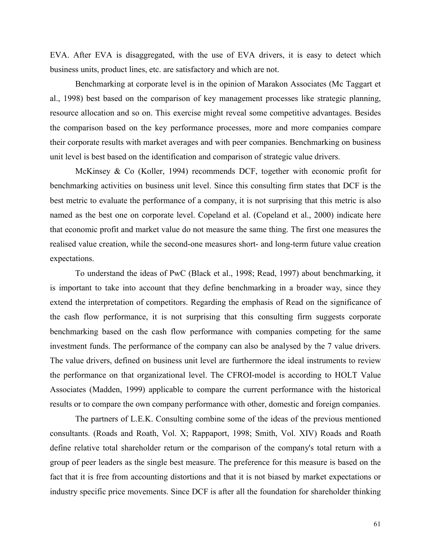EVA. After EVA is disaggregated, with the use of EVA drivers, it is easy to detect which business units, product lines, etc. are satisfactory and which are not.

Benchmarking at corporate level is in the opinion of Marakon Associates (Mc Taggart et al., 1998) best based on the comparison of key management processes like strategic planning, resource allocation and so on. This exercise might reveal some competitive advantages. Besides the comparison based on the key performance processes, more and more companies compare their corporate results with market averages and with peer companies. Benchmarking on business unit level is best based on the identification and comparison of strategic value drivers.

McKinsey & Co (Koller, 1994) recommends DCF, together with economic profit for benchmarking activities on business unit level. Since this consulting firm states that DCF is the best metric to evaluate the performance of a company, it is not surprising that this metric is also named as the best one on corporate level. Copeland et al. (Copeland et al., 2000) indicate here that economic profit and market value do not measure the same thing. The first one measures the realised value creation, while the second-one measures short- and long-term future value creation expectations.

To understand the ideas of PwC (Black et al., 1998; Read, 1997) about benchmarking, it is important to take into account that they define benchmarking in a broader way, since they extend the interpretation of competitors. Regarding the emphasis of Read on the significance of the cash flow performance, it is not surprising that this consulting firm suggests corporate benchmarking based on the cash flow performance with companies competing for the same investment funds. The performance of the company can also be analysed by the 7 value drivers. The value drivers, defined on business unit level are furthermore the ideal instruments to review the performance on that organizational level. The CFROI-model is according to HOLT Value Associates (Madden, 1999) applicable to compare the current performance with the historical results or to compare the own company performance with other, domestic and foreign companies.

The partners of L.E.K. Consulting combine some of the ideas of the previous mentioned consultants. (Roads and Roath, Vol. X; Rappaport, 1998; Smith, Vol. XIV) Roads and Roath define relative total shareholder return or the comparison of the company's total return with a group of peer leaders as the single best measure. The preference for this measure is based on the fact that it is free from accounting distortions and that it is not biased by market expectations or industry specific price movements. Since DCF is after all the foundation for shareholder thinking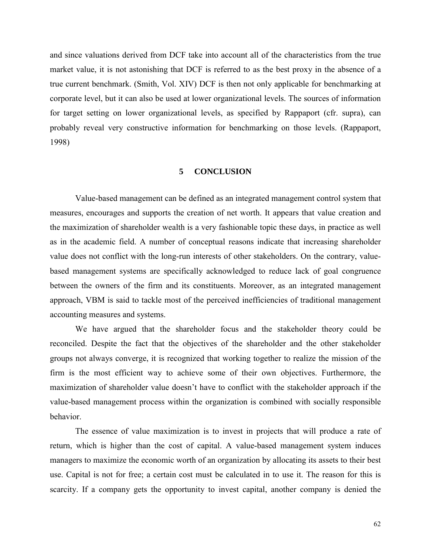and since valuations derived from DCF take into account all of the characteristics from the true market value, it is not astonishing that DCF is referred to as the best proxy in the absence of a true current benchmark. (Smith, Vol. XIV) DCF is then not only applicable for benchmarking at corporate level, but it can also be used at lower organizational levels. The sources of information for target setting on lower organizational levels, as specified by Rappaport (cfr. supra), can probably reveal very constructive information for benchmarking on those levels. (Rappaport, 1998)

### **5 CONCLUSION**

Value-based management can be defined as an integrated management control system that measures, encourages and supports the creation of net worth. It appears that value creation and the maximization of shareholder wealth is a very fashionable topic these days, in practice as well as in the academic field. A number of conceptual reasons indicate that increasing shareholder value does not conflict with the long-run interests of other stakeholders. On the contrary, valuebased management systems are specifically acknowledged to reduce lack of goal congruence between the owners of the firm and its constituents. Moreover, as an integrated management approach, VBM is said to tackle most of the perceived inefficiencies of traditional management accounting measures and systems.

We have argued that the shareholder focus and the stakeholder theory could be reconciled. Despite the fact that the objectives of the shareholder and the other stakeholder groups not always converge, it is recognized that working together to realize the mission of the firm is the most efficient way to achieve some of their own objectives. Furthermore, the maximization of shareholder value doesn't have to conflict with the stakeholder approach if the value-based management process within the organization is combined with socially responsible behavior.

The essence of value maximization is to invest in projects that will produce a rate of return, which is higher than the cost of capital. A value-based management system induces managers to maximize the economic worth of an organization by allocating its assets to their best use. Capital is not for free; a certain cost must be calculated in to use it. The reason for this is scarcity. If a company gets the opportunity to invest capital, another company is denied the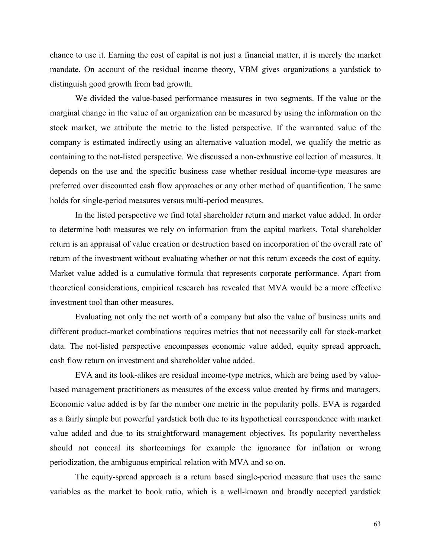chance to use it. Earning the cost of capital is not just a financial matter, it is merely the market mandate. On account of the residual income theory, VBM gives organizations a yardstick to distinguish good growth from bad growth.

We divided the value-based performance measures in two segments. If the value or the marginal change in the value of an organization can be measured by using the information on the stock market, we attribute the metric to the listed perspective. If the warranted value of the company is estimated indirectly using an alternative valuation model, we qualify the metric as containing to the not-listed perspective. We discussed a non-exhaustive collection of measures. It depends on the use and the specific business case whether residual income-type measures are preferred over discounted cash flow approaches or any other method of quantification. The same holds for single-period measures versus multi-period measures.

In the listed perspective we find total shareholder return and market value added. In order to determine both measures we rely on information from the capital markets. Total shareholder return is an appraisal of value creation or destruction based on incorporation of the overall rate of return of the investment without evaluating whether or not this return exceeds the cost of equity. Market value added is a cumulative formula that represents corporate performance. Apart from theoretical considerations, empirical research has revealed that MVA would be a more effective investment tool than other measures.

Evaluating not only the net worth of a company but also the value of business units and different product-market combinations requires metrics that not necessarily call for stock-market data. The not-listed perspective encompasses economic value added, equity spread approach, cash flow return on investment and shareholder value added.

EVA and its look-alikes are residual income-type metrics, which are being used by valuebased management practitioners as measures of the excess value created by firms and managers. Economic value added is by far the number one metric in the popularity polls. EVA is regarded as a fairly simple but powerful yardstick both due to its hypothetical correspondence with market value added and due to its straightforward management objectives. Its popularity nevertheless should not conceal its shortcomings for example the ignorance for inflation or wrong periodization, the ambiguous empirical relation with MVA and so on.

The equity-spread approach is a return based single-period measure that uses the same variables as the market to book ratio, which is a well-known and broadly accepted yardstick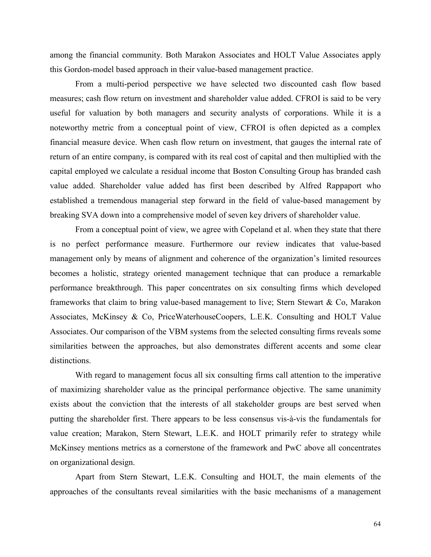among the financial community. Both Marakon Associates and HOLT Value Associates apply this Gordon-model based approach in their value-based management practice.

From a multi-period perspective we have selected two discounted cash flow based measures; cash flow return on investment and shareholder value added. CFROI is said to be very useful for valuation by both managers and security analysts of corporations. While it is a noteworthy metric from a conceptual point of view, CFROI is often depicted as a complex financial measure device. When cash flow return on investment, that gauges the internal rate of return of an entire company, is compared with its real cost of capital and then multiplied with the capital employed we calculate a residual income that Boston Consulting Group has branded cash value added. Shareholder value added has first been described by Alfred Rappaport who established a tremendous managerial step forward in the field of value-based management by breaking SVA down into a comprehensive model of seven key drivers of shareholder value.

From a conceptual point of view, we agree with Copeland et al. when they state that there is no perfect performance measure. Furthermore our review indicates that value-based management only by means of alignment and coherence of the organization's limited resources becomes a holistic, strategy oriented management technique that can produce a remarkable performance breakthrough. This paper concentrates on six consulting firms which developed frameworks that claim to bring value-based management to live; Stern Stewart & Co, Marakon Associates, McKinsey & Co, PriceWaterhouseCoopers, L.E.K. Consulting and HOLT Value Associates. Our comparison of the VBM systems from the selected consulting firms reveals some similarities between the approaches, but also demonstrates different accents and some clear distinctions.

With regard to management focus all six consulting firms call attention to the imperative of maximizing shareholder value as the principal performance objective. The same unanimity exists about the conviction that the interests of all stakeholder groups are best served when putting the shareholder first. There appears to be less consensus vis-à-vis the fundamentals for value creation; Marakon, Stern Stewart, L.E.K. and HOLT primarily refer to strategy while McKinsey mentions metrics as a cornerstone of the framework and PwC above all concentrates on organizational design.

Apart from Stern Stewart, L.E.K. Consulting and HOLT, the main elements of the approaches of the consultants reveal similarities with the basic mechanisms of a management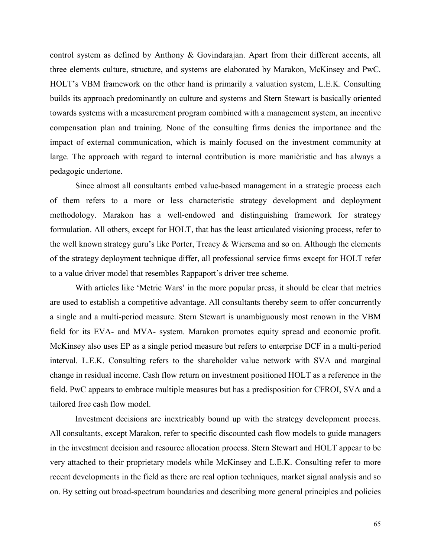control system as defined by Anthony & Govindarajan. Apart from their different accents, all three elements culture, structure, and systems are elaborated by Marakon, McKinsey and PwC. HOLT's VBM framework on the other hand is primarily a valuation system, L.E.K. Consulting builds its approach predominantly on culture and systems and Stern Stewart is basically oriented towards systems with a measurement program combined with a management system, an incentive compensation plan and training. None of the consulting firms denies the importance and the impact of external communication, which is mainly focused on the investment community at large. The approach with regard to internal contribution is more manieristic and has always a pedagogic undertone.

Since almost all consultants embed value-based management in a strategic process each of them refers to a more or less characteristic strategy development and deployment methodology. Marakon has a well-endowed and distinguishing framework for strategy formulation. All others, except for HOLT, that has the least articulated visioning process, refer to the well known strategy guru's like Porter, Treacy  $&$  Wiersema and so on. Although the elements of the strategy deployment technique differ, all professional service firms except for HOLT refer to a value driver model that resembles Rappaport's driver tree scheme.

With articles like 'Metric Wars' in the more popular press, it should be clear that metrics are used to establish a competitive advantage. All consultants thereby seem to offer concurrently a single and a multi-period measure. Stern Stewart is unambiguously most renown in the VBM field for its EVA- and MVA- system. Marakon promotes equity spread and economic profit. McKinsey also uses EP as a single period measure but refers to enterprise DCF in a multi-period interval. L.E.K. Consulting refers to the shareholder value network with SVA and marginal change in residual income. Cash flow return on investment positioned HOLT as a reference in the field. PwC appears to embrace multiple measures but has a predisposition for CFROI, SVA and a tailored free cash flow model.

Investment decisions are inextricably bound up with the strategy development process. All consultants, except Marakon, refer to specific discounted cash flow models to guide managers in the investment decision and resource allocation process. Stern Stewart and HOLT appear to be very attached to their proprietary models while McKinsey and L.E.K. Consulting refer to more recent developments in the field as there are real option techniques, market signal analysis and so on. By setting out broad-spectrum boundaries and describing more general principles and policies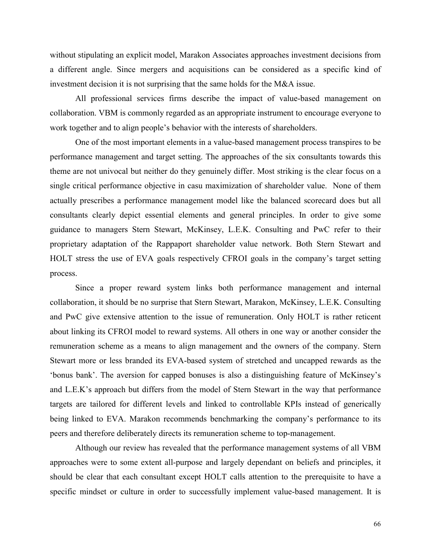without stipulating an explicit model, Marakon Associates approaches investment decisions from a different angle. Since mergers and acquisitions can be considered as a specific kind of investment decision it is not surprising that the same holds for the M&A issue.

All professional services firms describe the impact of value-based management on collaboration. VBM is commonly regarded as an appropriate instrument to encourage everyone to work together and to align people's behavior with the interests of shareholders.

One of the most important elements in a value-based management process transpires to be performance management and target setting. The approaches of the six consultants towards this theme are not univocal but neither do they genuinely differ. Most striking is the clear focus on a single critical performance objective in casu maximization of shareholder value. None of them actually prescribes a performance management model like the balanced scorecard does but all consultants clearly depict essential elements and general principles. In order to give some guidance to managers Stern Stewart, McKinsey, L.E.K. Consulting and PwC refer to their proprietary adaptation of the Rappaport shareholder value network. Both Stern Stewart and HOLT stress the use of EVA goals respectively CFROI goals in the company's target setting process.

Since a proper reward system links both performance management and internal collaboration, it should be no surprise that Stern Stewart, Marakon, McKinsey, L.E.K. Consulting and PwC give extensive attention to the issue of remuneration. Only HOLT is rather reticent about linking its CFROI model to reward systems. All others in one way or another consider the remuneration scheme as a means to align management and the owners of the company. Stern Stewart more or less branded its EVA-based system of stretched and uncapped rewards as the 'bonus bank'. The aversion for capped bonuses is also a distinguishing feature of McKinsey's and L.E.K's approach but differs from the model of Stern Stewart in the way that performance targets are tailored for different levels and linked to controllable KPIs instead of generically being linked to EVA. Marakon recommends benchmarking the company's performance to its peers and therefore deliberately directs its remuneration scheme to top-management.

Although our review has revealed that the performance management systems of all VBM approaches were to some extent all-purpose and largely dependant on beliefs and principles, it should be clear that each consultant except HOLT calls attention to the prerequisite to have a specific mindset or culture in order to successfully implement value-based management. It is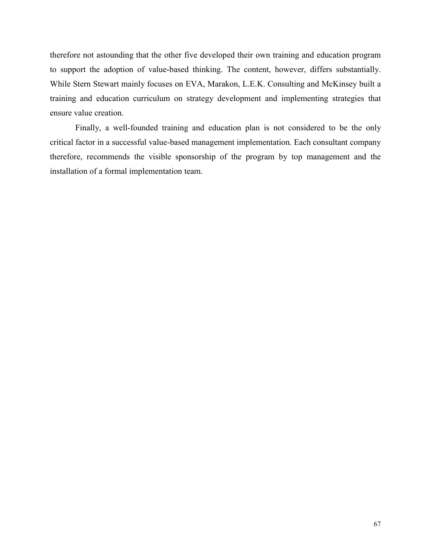therefore not astounding that the other five developed their own training and education program to support the adoption of value-based thinking. The content, however, differs substantially. While Stern Stewart mainly focuses on EVA, Marakon, L.E.K. Consulting and McKinsey built a training and education curriculum on strategy development and implementing strategies that ensure value creation.

Finally, a well-founded training and education plan is not considered to be the only critical factor in a successful value-based management implementation. Each consultant company therefore, recommends the visible sponsorship of the program by top management and the installation of a formal implementation team.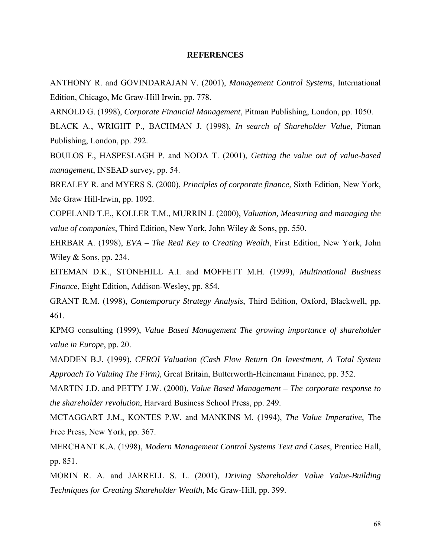#### **REFERENCES**

ANTHONY R. and GOVINDARAJAN V. (2001), *Management Control Systems*, International Edition, Chicago, Mc Graw-Hill Irwin, pp. 778.

ARNOLD G. (1998), *Corporate Financial Management*, Pitman Publishing, London, pp. 1050.

BLACK A., WRIGHT P., BACHMAN J. (1998), *In search of Shareholder Value*, Pitman Publishing, London, pp. 292.

BOULOS F., HASPESLAGH P. and NODA T. (2001), *Getting the value out of value-based management*, INSEAD survey, pp. 54.

BREALEY R. and MYERS S. (2000), *Principles of corporate finance*, Sixth Edition, New York, Mc Graw Hill-Irwin, pp. 1092.

COPELAND T.E., KOLLER T.M., MURRIN J. (2000), *Valuation, Measuring and managing the value of companies*, Third Edition, New York, John Wiley & Sons, pp. 550.

EHRBAR A. (1998), *EVA – The Real Key to Creating Wealth*, First Edition, New York, John Wiley & Sons, pp. 234.

EITEMAN D.K., STONEHILL A.I. and MOFFETT M.H. (1999), *Multinational Business Finance*, Eight Edition, Addison-Wesley, pp. 854.

GRANT R.M. (1998), *Contemporary Strategy Analysis*, Third Edition, Oxford, Blackwell, pp. 461.

KPMG consulting (1999), *Value Based Management The growing importance of shareholder value in Europe*, pp. 20.

MADDEN B.J. (1999), *CFROI Valuation (Cash Flow Return On Investment, A Total System Approach To Valuing The Firm)*, Great Britain, Butterworth-Heinemann Finance, pp. 352.

MARTIN J.D. and PETTY J.W. (2000), *Value Based Management – The corporate response to the shareholder revolution*, Harvard Business School Press, pp. 249.

MCTAGGART J.M., KONTES P.W. and MANKINS M. (1994), *The Value Imperative*, The Free Press, New York, pp. 367.

MERCHANT K.A. (1998), *Modern Management Control Systems Text and Cases*, Prentice Hall, pp. 851.

MORIN R. A. and JARRELL S. L. (2001), *Driving Shareholder Value Value-Building Techniques for Creating Shareholder Wealth*, Mc Graw-Hill, pp. 399.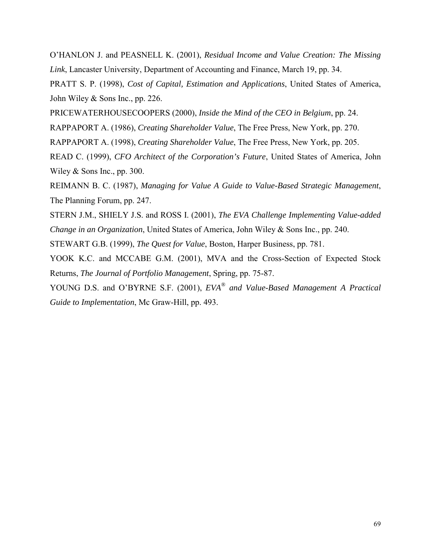OíHANLON J. and PEASNELL K. (2001), *Residual Income and Value Creation: The Missing Link*, Lancaster University, Department of Accounting and Finance, March 19, pp. 34. PRATT S. P. (1998), *Cost of Capital, Estimation and Applications*, United States of America, John Wiley & Sons Inc., pp. 226.

PRICEWATERHOUSECOOPERS (2000), *Inside the Mind of the CEO in Belgium*, pp. 24.

RAPPAPORT A. (1986), *Creating Shareholder Value*, The Free Press, New York, pp. 270.

RAPPAPORT A. (1998), *Creating Shareholder Value*, The Free Press, New York, pp. 205.

READ C. (1999), *CFO Architect of the Corporation's Future*, United States of America, John Wiley & Sons Inc., pp. 300.

REIMANN B. C. (1987), *Managing for Value A Guide to Value-Based Strategic Management*, The Planning Forum, pp. 247.

STERN J.M., SHIELY J.S. and ROSS I. (2001), *The EVA Challenge Implementing Value-added Change in an Organization*, United States of America, John Wiley & Sons Inc., pp. 240.

STEWART G.B. (1999), *The Quest for Value*, Boston, Harper Business, pp. 781.

YOOK K.C. and MCCABE G.M. (2001), MVA and the Cross-Section of Expected Stock Returns, *The Journal of Portfolio Management*, Spring, pp. 75-87.

YOUNG D.S. and OíBYRNE S.F. (2001), *EVA® and Value-Based Management A Practical Guide to Implementation*, Mc Graw-Hill, pp. 493.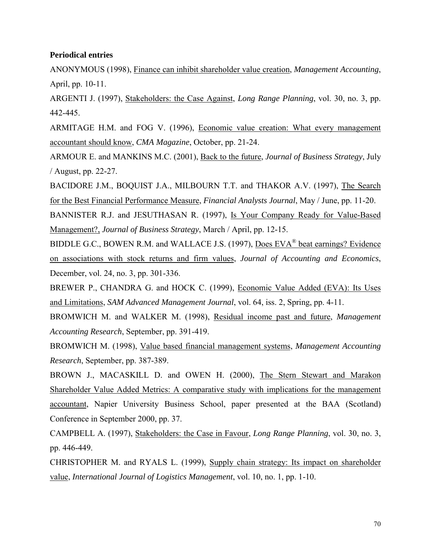### **Periodical entries**

ANONYMOUS (1998), Finance can inhibit shareholder value creation, *Management Accounting*, April, pp. 10-11.

ARGENTI J. (1997), Stakeholders: the Case Against, *Long Range Planning*, vol. 30, no. 3, pp. 442-445.

ARMITAGE H.M. and FOG V. (1996), Economic value creation: What every management accountant should know, *CMA Magazine*, October, pp. 21-24.

ARMOUR E. and MANKINS M.C. (2001), Back to the future, *Journal of Business Strategy*, July / August, pp. 22-27.

BACIDORE J.M., BOQUIST J.A., MILBOURN T.T. and THAKOR A.V. (1997), The Search for the Best Financial Performance Measure, *Financial Analysts Journal*, May / June, pp. 11-20.

BANNISTER R.J. and JESUTHASAN R. (1997), Is Your Company Ready for Value-Based Management?, *Journal of Business Strategy*, March / April, pp. 12-15.

BIDDLE G.C., BOWEN R.M. and WALLACE J.S. (1997), Does  $EVA^{\circledR}$  beat earnings? Evidence on associations with stock returns and firm values, *Journal of Accounting and Economics*, December, vol. 24, no. 3, pp. 301-336.

BREWER P., CHANDRA G. and HOCK C. (1999), Economic Value Added (EVA): Its Uses and Limitations, *SAM Advanced Management Journal*, vol. 64, iss. 2, Spring, pp. 4-11.

BROMWICH M. and WALKER M. (1998), Residual income past and future, *Management Accounting Research*, September, pp. 391-419.

BROMWICH M. (1998), Value based financial management systems, *Management Accounting Research*, September, pp. 387-389.

BROWN J., MACASKILL D. and OWEN H. (2000), The Stern Stewart and Marakon Shareholder Value Added Metrics: A comparative study with implications for the management accountant, Napier University Business School, paper presented at the BAA (Scotland) Conference in September 2000, pp. 37.

CAMPBELL A. (1997), Stakeholders: the Case in Favour, *Long Range Planning*, vol. 30, no. 3, pp. 446-449.

CHRISTOPHER M. and RYALS L. (1999), Supply chain strategy: Its impact on shareholder value, *International Journal of Logistics Management*, vol. 10, no. 1, pp. 1-10.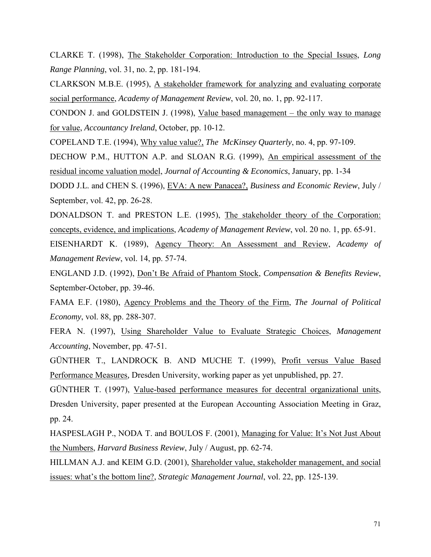CLARKE T. (1998), The Stakeholder Corporation: Introduction to the Special Issues, *Long Range Planning*, vol. 31, no. 2, pp. 181-194.

CLARKSON M.B.E. (1995), A stakeholder framework for analyzing and evaluating corporate social performance, *Academy of Management Review*, vol. 20, no. 1, pp. 92-117.

CONDON J. and GOLDSTEIN J. (1998), Value based management  $-$  the only way to manage for value, *Accountancy Ireland*, October, pp. 10-12.

COPELAND T.E. (1994), Why value value?, *The McKinsey Quarterly*, no. 4, pp. 97-109.

DECHOW P.M., HUTTON A.P. and SLOAN R.G. (1999), An empirical assessment of the residual income valuation model, *Journal of Accounting & Economics*, January, pp. 1-34

DODD J.L. and CHEN S. (1996), EVA: A new Panacea?, *Business and Economic Review*, July / September, vol. 42, pp. 26-28.

DONALDSON T. and PRESTON L.E. (1995), The stakeholder theory of the Corporation: concepts, evidence, and implications, *Academy of Management Review*, vol. 20 no. 1, pp. 65-91.

EISENHARDT K. (1989), Agency Theory: An Assessment and Review, *Academy of Management Review*, vol. 14, pp. 57-74.

ENGLAND J.D. (1992), Donít Be Afraid of Phantom Stock, *Compensation & Benefits Review*, September-October, pp. 39-46.

FAMA E.F. (1980), Agency Problems and the Theory of the Firm, *The Journal of Political Economy*, vol. 88, pp. 288-307.

FERA N. (1997), Using Shareholder Value to Evaluate Strategic Choices, *Management Accounting*, November, pp. 47-51.

GÜNTHER T., LANDROCK B. AND MUCHE T. (1999), Profit versus Value Based Performance Measures*,* Dresden University, working paper as yet unpublished, pp. 27.

GÜNTHER T. (1997), Value-based performance measures for decentral organizational units, Dresden University, paper presented at the European Accounting Association Meeting in Graz, pp. 24.

HASPESLAGH P., NODA T. and BOULOS F. (2001), Managing for Value: It's Not Just About the Numbers, *Harvard Business Review*, July / August, pp. 62-74.

HILLMAN A.J. and KEIM G.D. (2001), Shareholder value, stakeholder management, and social issues: what's the bottom line?, *Strategic Management Journal*, vol. 22, pp. 125-139.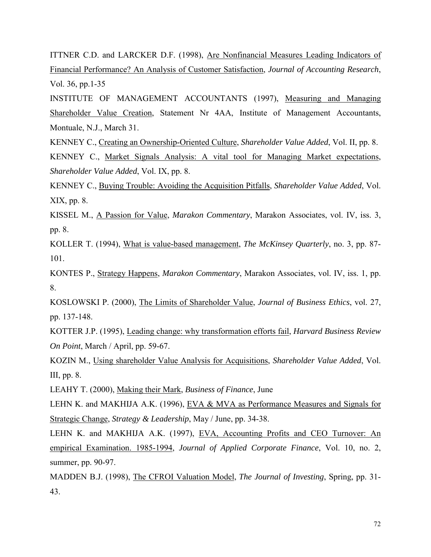ITTNER C.D. and LARCKER D.F. (1998), Are Nonfinancial Measures Leading Indicators of Financial Performance? An Analysis of Customer Satisfaction, *Journal of Accounting Research*, Vol. 36, pp.1-35

INSTITUTE OF MANAGEMENT ACCOUNTANTS (1997), Measuring and Managing Shareholder Value Creation, Statement Nr 4AA, Institute of Management Accountants, Montuale, N.J., March 31.

KENNEY C., Creating an Ownership-Oriented Culture, *Shareholder Value Added*, Vol. II, pp. 8.

KENNEY C., Market Signals Analysis: A vital tool for Managing Market expectations, *Shareholder Value Added*, Vol. IX, pp. 8.

KENNEY C., Buying Trouble: Avoiding the Acquisition Pitfalls, *Shareholder Value Added*, Vol. XIX, pp. 8.

KISSEL M., A Passion for Value, *Marakon Commentary*, Marakon Associates, vol. IV, iss. 3, pp. 8.

KOLLER T. (1994), What is value-based management, *The McKinsey Quarterly*, no. 3, pp. 87- 101.

KONTES P., Strategy Happens, *Marakon Commentary*, Marakon Associates, vol. IV, iss. 1, pp. 8.

KOSLOWSKI P. (2000), The Limits of Shareholder Value, *Journal of Business Ethics*, vol. 27, pp. 137-148.

KOTTER J.P. (1995), Leading change: why transformation efforts fail, *Harvard Business Review On Point*, March / April, pp. 59-67.

KOZIN M., Using shareholder Value Analysis for Acquisitions, *Shareholder Value Added*, Vol. III, pp. 8.

LEAHY T. (2000), Making their Mark, *Business of Finance*, June

LEHN K. and MAKHIJA A.K. (1996), EVA & MVA as Performance Measures and Signals for Strategic Change, *Strategy & Leadership*, May / June, pp. 34-38.

LEHN K. and MAKHIJA A.K. (1997), EVA, Accounting Profits and CEO Turnover: An empirical Examination. 1985-1994, *Journal of Applied Corporate Finance*, Vol. 10, no. 2, summer, pp. 90-97.

MADDEN B.J. (1998), The CFROI Valuation Model, *The Journal of Investing*, Spring, pp. 31- 43.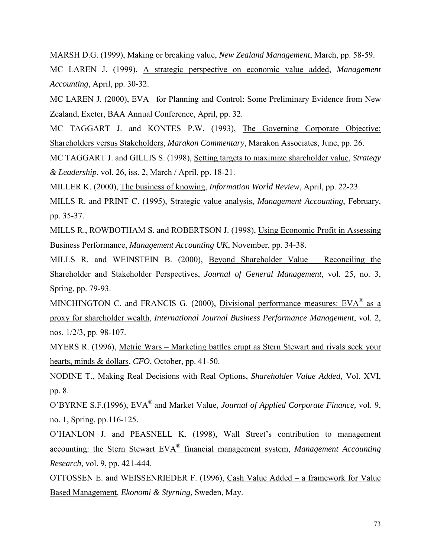MARSH D.G. (1999), Making or breaking value, *New Zealand Management*, March, pp. 58-59.

MC LAREN J. (1999), A strategic perspective on economic value added, *Management Accounting*, April, pp. 30-32.

MC LAREN J. (2000),  $EVA^{\circledR}$  for Planning and Control: Some Preliminary Evidence from New Zealand, Exeter, BAA Annual Conference, April, pp. 32.

MC TAGGART J. and KONTES P.W. (1993), The Governing Corporate Objective: Shareholders versus Stakeholders, *Marakon Commentary*, Marakon Associates, June, pp. 26.

MC TAGGART J. and GILLIS S. (1998), Setting targets to maximize shareholder value, *Strategy & Leadership*, vol. 26, iss. 2, March / April, pp. 18-21.

MILLER K. (2000), The business of knowing, *Information World Review*, April, pp. 22-23.

MILLS R. and PRINT C. (1995), Strategic value analysis, *Management Accounting*, February, pp. 35-37.

MILLS R., ROWBOTHAM S. and ROBERTSON J. (1998), Using Economic Profit in Assessing Business Performance, *Management Accounting UK*, November, pp. 34-38.

MILLS R. and WEINSTEIN B.  $(2000)$ , Beyond Shareholder Value – Reconciling the Shareholder and Stakeholder Perspectives, *Journal of General Management*, vol. 25, no. 3, Spring, pp. 79-93.

MINCHINGTON C. and FRANCIS G. (2000), Divisional performance measures:  $EVA^{\circledR}$  as a proxy for shareholder wealth, *International Journal Business Performance Management*, vol. 2, nos. 1/2/3, pp. 98-107.

MYERS R. (1996), Metric Wars – Marketing battles erupt as Stern Stewart and rivals seek your hearts, minds & dollars, *CFO*, October, pp. 41-50.

NODINE T., Making Real Decisions with Real Options, *Shareholder Value Added*, Vol. XVI, pp. 8.

OíBYRNE S.F.(1996), EVAÆ and Market Value, *Journal of Applied Corporate Finance,* vol. 9, no. 1, Spring, pp.116-125.

O'HANLON J. and PEASNELL K. (1998), Wall Street's contribution to management accounting: the Stern Stewart EVA<sup>®</sup> financial management system, *Management Accounting Research*, vol. 9, pp. 421-444.

OTTOSSEN E. and WEISSENRIEDER F. (1996), Cash Value Added  $-$  a framework for Value Based Management, *Ekonomi & Styrning*, Sweden, May.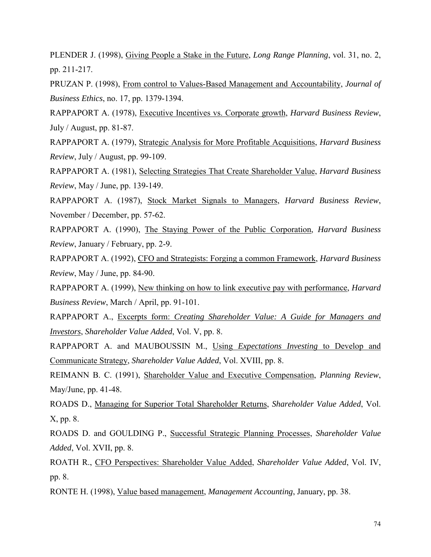PLENDER J. (1998), Giving People a Stake in the Future, *Long Range Planning*, vol. 31, no. 2, pp. 211-217.

PRUZAN P. (1998), From control to Values-Based Management and Accountability, *Journal of Business Ethics*, no. 17, pp. 1379-1394.

RAPPAPORT A. (1978), Executive Incentives vs. Corporate growth, *Harvard Business Review*, July / August, pp. 81-87.

RAPPAPORT A. (1979), Strategic Analysis for More Profitable Acquisitions, *Harvard Business Review*, July / August, pp. 99-109.

RAPPAPORT A. (1981), Selecting Strategies That Create Shareholder Value, *Harvard Business Review*, May / June, pp. 139-149.

RAPPAPORT A. (1987), Stock Market Signals to Managers, *Harvard Business Review*, November / December, pp. 57-62.

RAPPAPORT A. (1990), The Staying Power of the Public Corporation, *Harvard Business Review*, January / February, pp. 2-9.

RAPPAPORT A. (1992), CFO and Strategists: Forging a common Framework, *Harvard Business Review*, May / June, pp. 84-90.

RAPPAPORT A. (1999), New thinking on how to link executive pay with performance, *Harvard Business Review*, March / April, pp. 91-101.

RAPPAPORT A., Excerpts form: *Creating Shareholder Value: A Guide for Managers and Investors*, *Shareholder Value Added*, Vol. V, pp. 8.

RAPPAPORT A. and MAUBOUSSIN M., Using *Expectations Investing* to Develop and Communicate Strategy, *Shareholder Value Added*, Vol. XVIII, pp. 8.

REIMANN B. C. (1991), Shareholder Value and Executive Compensation, *Planning Review*, May/June, pp. 41-48.

ROADS D., Managing for Superior Total Shareholder Returns, *Shareholder Value Added*, Vol. X, pp. 8.

ROADS D. and GOULDING P., Successful Strategic Planning Processes, *Shareholder Value Added*, Vol. XVII, pp. 8.

ROATH R., CFO Perspectives: Shareholder Value Added, *Shareholder Value Added*, Vol. IV, pp. 8.

RONTE H. (1998), Value based management, *Management Accounting*, January, pp. 38.